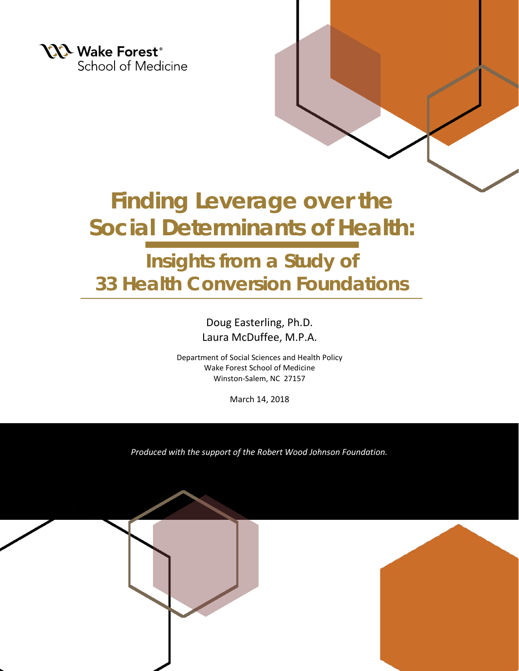

# **Finding Leverage over the Social Determinants of Health:**

# **Insights from a Study of 33 Health Conversion Foundations**

Doug Easterling, Ph.D. Laura McDuffee, M.P.A.

Department of Social Sciences and Health Policy Wake Forest School of Medicine Winston-Salem, NC 27157

March 14, 2018

*Produced with the support of the Robert Wood Johnson Foundation.*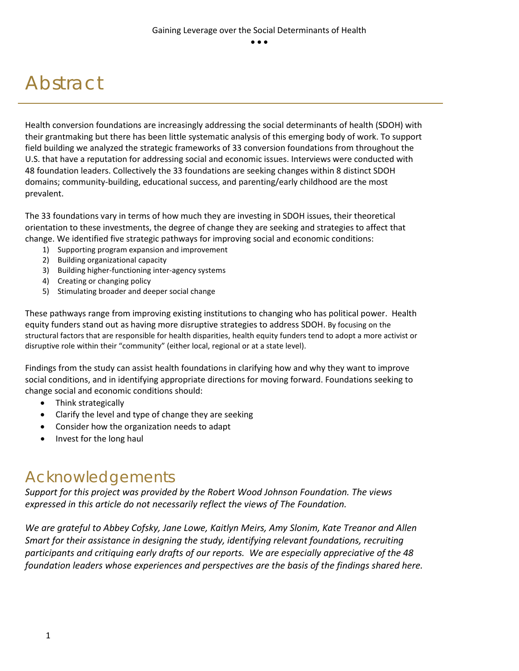# Abstract

Health conversion foundations are increasingly addressing the social determinants of health (SDOH) with their grantmaking but there has been little systematic analysis of this emerging body of work. To support field building we analyzed the strategic frameworks of 33 conversion foundations from throughout the U.S. that have a reputation for addressing social and economic issues. Interviews were conducted with 48 foundation leaders. Collectively the 33 foundations are seeking changes within 8 distinct SDOH domains; community-building, educational success, and parenting/early childhood are the most prevalent.

The 33 foundations vary in terms of how much they are investing in SDOH issues, their theoretical orientation to these investments, the degree of change they are seeking and strategies to affect that change. We identified five strategic pathways for improving social and economic conditions:

- 1) Supporting program expansion and improvement
- 2) Building organizational capacity
- 3) Building higher-functioning inter-agency systems
- 4) Creating or changing policy
- 5) Stimulating broader and deeper social change

These pathways range from improving existing institutions to changing who has political power. Health equity funders stand out as having more disruptive strategies to address SDOH. By focusing on the structural factors that are responsible for health disparities, health equity funders tend to adopt a more activist or disruptive role within their "community" (either local, regional or at a state level).

Findings from the study can assist health foundations in clarifying how and why they want to improve social conditions, and in identifying appropriate directions for moving forward. Foundations seeking to change social and economic conditions should:

- Think strategically
- Clarify the level and type of change they are seeking
- Consider how the organization needs to adapt
- Invest for the long haul

## Acknowledgements

*Support for this project was provided by the Robert Wood Johnson Foundation. The views expressed in this article do not necessarily reflect the views of The Foundation.* 

*We are grateful to Abbey Cofsky, Jane Lowe, Kaitlyn Meirs, Amy Slonim, Kate Treanor and Allen Smart for their assistance in designing the study, identifying relevant foundations, recruiting participants and critiquing early drafts of our reports. We are especially appreciative of the 48 foundation leaders whose experiences and perspectives are the basis of the findings shared here.*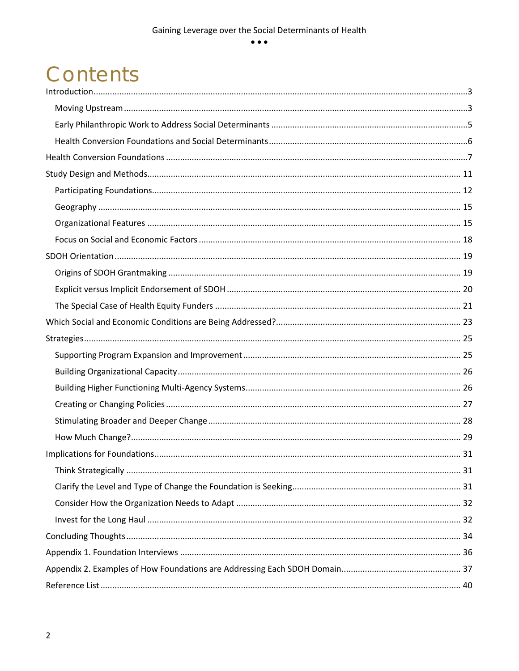$\bullet$   $\bullet$   $\bullet$ 

# Contents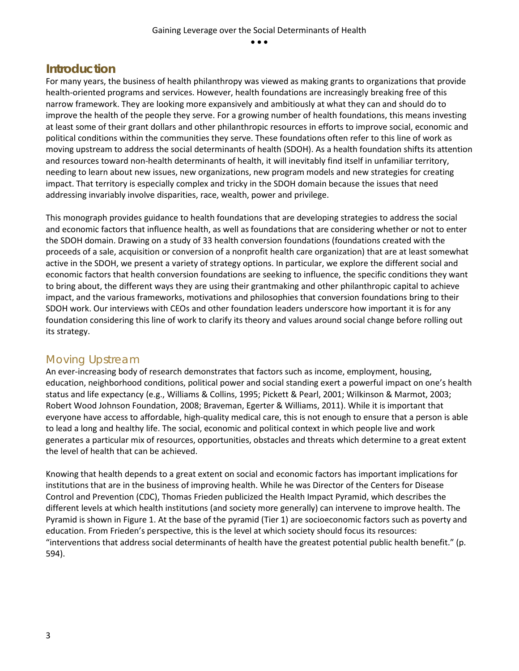### <span id="page-3-0"></span>**Introduction**

For many years, the business of health philanthropy was viewed as making grants to organizations that provide health-oriented programs and services. However, health foundations are increasingly breaking free of this narrow framework. They are looking more expansively and ambitiously at what they can and should do to improve the health of the people they serve. For a growing number of health foundations, this means investing at least some of their grant dollars and other philanthropic resources in efforts to improve social, economic and political conditions within the communities they serve. These foundations often refer to this line of work as moving upstream to address the social determinants of health (SDOH). As a health foundation shifts its attention and resources toward non-health determinants of health, it will inevitably find itself in unfamiliar territory, needing to learn about new issues, new organizations, new program models and new strategies for creating impact. That territory is especially complex and tricky in the SDOH domain because the issues that need addressing invariably involve disparities, race, wealth, power and privilege.

This monograph provides guidance to health foundations that are developing strategies to address the social and economic factors that influence health, as well as foundations that are considering whether or not to enter the SDOH domain. Drawing on a study of 33 health conversion foundations (foundations created with the proceeds of a sale, acquisition or conversion of a nonprofit health care organization) that are at least somewhat active in the SDOH, we present a variety of strategy options. In particular, we explore the different social and economic factors that health conversion foundations are seeking to influence, the specific conditions they want to bring about, the different ways they are using their grantmaking and other philanthropic capital to achieve impact, and the various frameworks, motivations and philosophies that conversion foundations bring to their SDOH work. Our interviews with CEOs and other foundation leaders underscore how important it is for any foundation considering this line of work to clarify its theory and values around social change before rolling out its strategy.

## <span id="page-3-1"></span>Moving Upstream

An ever-increasing body of research demonstrates that factors such as income, employment, housing, education, neighborhood conditions, political power and social standing exert a powerful impact on one's health status and life expectancy (e.g., Williams & Collins, 1995; Pickett & Pearl, 2001; Wilkinson & Marmot, 2003; Robert Wood Johnson Foundation, 2008; Braveman, Egerter & Williams, 2011). While it is important that everyone have access to affordable, high-quality medical care, this is not enough to ensure that a person is able to lead a long and healthy life. The social, economic and political context in which people live and work generates a particular mix of resources, opportunities, obstacles and threats which determine to a great extent the level of health that can be achieved.

Knowing that health depends to a great extent on social and economic factors has important implications for institutions that are in the business of improving health. While he was Director of the Centers for Disease Control and Prevention (CDC), Thomas Frieden publicized the Health Impact Pyramid, which describes the different levels at which health institutions (and society more generally) can intervene to improve health. The Pyramid is shown in Figure 1. At the base of the pyramid (Tier 1) are socioeconomic factors such as poverty and education. From Frieden's perspective, this is the level at which society should focus its resources: "interventions that address social determinants of health have the greatest potential public health benefit." (p. 594).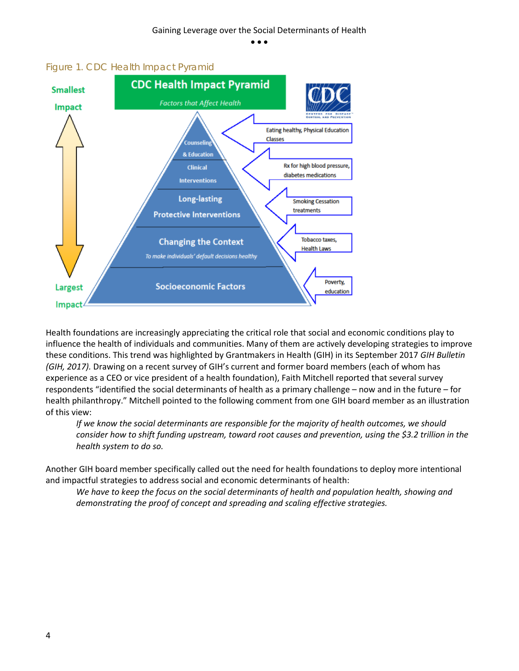

#### *Figure 1. CDC Health Impact Pyramid*

Health foundations are increasingly appreciating the critical role that social and economic conditions play to influence the health of individuals and communities. Many of them are actively developing strategies to improve these conditions. This trend was highlighted by Grantmakers in Health (GIH) in its September 2017 *GIH Bulletin (GIH, 2017).* Drawing on a recent survey of GIH's current and former board members (each of whom has experience as a CEO or vice president of a health foundation), Faith Mitchell reported that several survey respondents "identified the social determinants of health as a primary challenge – now and in the future – for health philanthropy." Mitchell pointed to the following comment from one GIH board member as an illustration of this view:

*If we know the social determinants are responsible for the majority of health outcomes, we should consider how to shift funding upstream, toward root causes and prevention, using the \$3.2 trillion in the health system to do so.*

Another GIH board member specifically called out the need for health foundations to deploy more intentional and impactful strategies to address social and economic determinants of health:

*We have to keep the focus on the social determinants of health and population health, showing and demonstrating the proof of concept and spreading and scaling effective strategies.*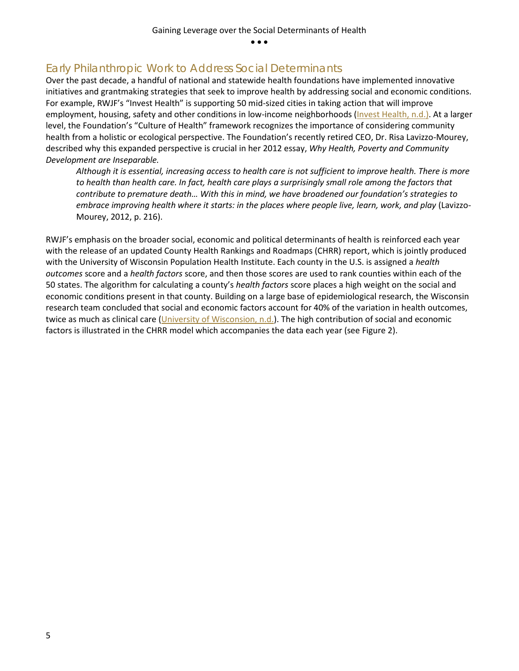### <span id="page-5-0"></span>Early Philanthropic Work to Address Social Determinants

Over the past decade, a handful of national and statewide health foundations have implemented innovative initiatives and grantmaking strategies that seek to improve health by addressing social and economic conditions. For example, RWJF's "Invest Health" is supporting 50 mid-sized cities in taking action that will improve employment, housing, safety and other conditions in low-income neighborhoods [\(Invest Health, n.d.\).](https://www.investhealth.org/) At a larger level, the Foundation's "Culture of Health" framework recognizes the importance of considering community health from a holistic or ecological perspective. The Foundation's recently retired CEO, Dr. Risa Lavizzo-Mourey, described why this expanded perspective is crucial in her 2012 essay, *Why Health, Poverty and Community Development are Inseparable.* 

*Although it is essential, increasing access to health care is not sufficient to improve health. There is more to health than health care. In fact, health care plays a surprisingly small role among the factors that contribute to premature death… With this in mind, we have broadened our foundation's strategies to embrace improving health where it starts: in the places where people live, learn, work, and play* (Lavizzo-Mourey, 2012, p. 216).

RWJF's emphasis on the broader social, economic and political determinants of health is reinforced each year with the release of an updated County Health Rankings and Roadmaps (CHRR) report, which is jointly produced with the University of Wisconsin Population Health Institute. Each county in the U.S. is assigned a *health outcomes* score and a *health factors* score, and then those scores are used to rank counties within each of the 50 states. The algorithm for calculating a county's *health factors* score places a high weight on the social and economic conditions present in that county. Building on a large base of epidemiological research, the Wisconsin research team concluded that social and economic factors account for 40% of the variation in health outcomes, twice as much as clinical care [\(University of Wisconsion, n.d.\)](http://www.countyhealthrankings.org/our-approach). The high contribution of social and economic factors is illustrated in the CHRR model which accompanies the data each year (see Figure 2).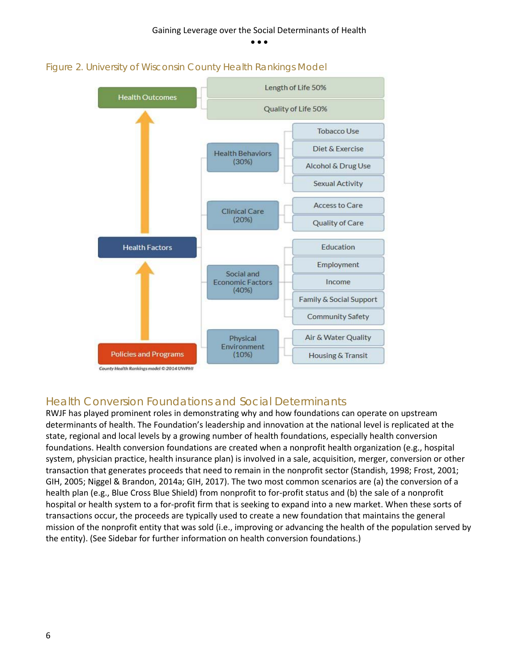



### <span id="page-6-0"></span>Health Conversion Foundations and Social Determinants

RWJF has played prominent roles in demonstrating why and how foundations can operate on upstream determinants of health. The Foundation's leadership and innovation at the national level is replicated at the state, regional and local levels by a growing number of health foundations, especially health conversion foundations. Health conversion foundations are created when a nonprofit health organization (e.g., hospital system, physician practice, health insurance plan) is involved in a sale, acquisition, merger, conversion or other transaction that generates proceeds that need to remain in the nonprofit sector (Standish, 1998; Frost, 2001; GIH, 2005; Niggel & Brandon, 2014a; GIH, 2017). The two most common scenarios are (a) the conversion of a health plan (e.g., Blue Cross Blue Shield) from nonprofit to for-profit status and (b) the sale of a nonprofit hospital or health system to a for-profit firm that is seeking to expand into a new market. When these sorts of transactions occur, the proceeds are typically used to create a new foundation that maintains the general mission of the nonprofit entity that was sold (i.e., improving or advancing the health of the population served by the entity). (See Sidebar for further information on health conversion foundations.)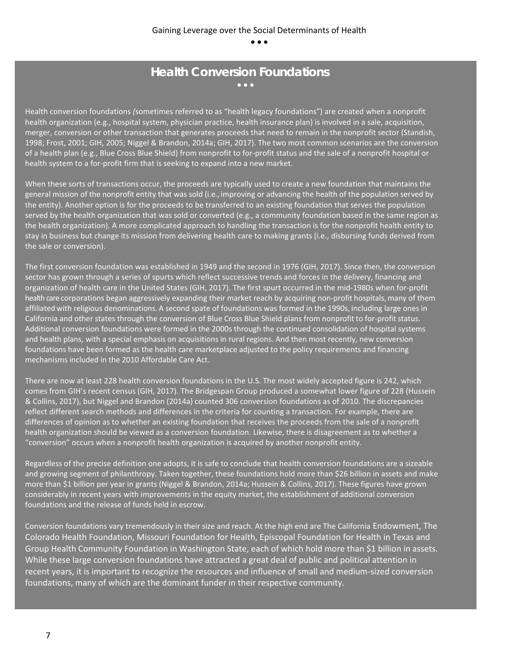#### **Health Conversion Foundations** • • •

Health conversion foundations *(*sometimes referred to as "health legacy foundations") are created when a nonprofit health organization (e.g., hospital system, physician practice, health insurance plan) is involved in a sale, acquisition, merger, conversion or other transaction that generates proceeds that need to remain in the nonprofit sector (Standish, 1998; Frost, 2001; GIH, 2005; Niggel & Brandon, 2014a; GIH, 2017). The two most common scenarios are the conversion of a health plan (e.g., Blue Cross Blue Shield) from nonprofit to for-profit status and the sale of a nonprofit hospital or health system to a for-profit firm that is seeking to expand into a new market.

When these sorts of transactions occur, the proceeds are typically used to create a new foundation that maintains the general mission of the nonprofit entity that was sold (i.e., improving or advancing the health of the population served by the entity). Another option is for the proceeds to be transferred to an existing foundation that serves the population served by the health organization that was sold or converted (e.g., a community foundation based in the same region as the health organization). A more complicated approach to handling the transaction is for the nonprofit health entity to stay in business but change its mission from delivering health care to making grants (i.e., disbursing funds derived from the sale or conversion).

The first conversion foundation was established in 1949 and the second in 1976 (GIH, 2017). Since then, the conversion sector has grown through a series of spurts which reflect successive trends and forces in the delivery, financing and organization of health care in the United States (GIH, 2017). The first spurt occurred in the mid-1980s when for-profit health care corporations began aggressively expanding their market reach by acquiring non-profit hospitals, many of them affiliated with religious denominations. A second spate of foundations was formed in the 1990s, including large ones in California and other states through the conversion of Blue Cross Blue Shield plans from nonprofit to for-profit status. Additional conversion foundations were formed in the 2000s through the continued consolidation of hospital systems and health plans, with a special emphasis on acquisitions in rural regions. And then most recently, new conversion foundations have been formed as the health care marketplace adjusted to the policy requirements and financing mechanisms included in the 2010 Affordable Care Act.

There are now at least 228 health conversion foundations in the U.S. The most widely accepted figure is 242, which comes from GIH's recent census (GIH, 2017). The Bridgespan Group produced a somewhat lower figure of 228 (Hussein & Collins, 2017), but Niggel and Brandon (2014a) counted 306 conversion foundations as of 2010. The discrepancies reflect different search methods and differences in the criteria for counting a transaction. For example, there are differences of opinion as to whether an existing foundation that receives the proceeds from the sale of a nonprofit health organization should be viewed as a conversion foundation. Likewise, there is disagreement as to whether a "conversion" occurs when a nonprofit health organization is acquired by another nonprofit entity.

Regardless of the precise definition one adopts, it is safe to conclude that health conversion foundations are a sizeable and growing segment of philanthropy. Taken together, these foundations hold more than \$26 billion in assets and make more than \$1 billion per year in grants (Niggel & Brandon, 2014a; Hussein & Collins, 2017). These figures have grown considerably in recent years with improvements in the equity market, the establishment of additional conversion foundations and the release of funds held in escrow.

Conversion foundations vary tremendously in their size and reach. At the high end are The California Endowment, The Colorado Health Foundation, Missouri Foundation for Health, Episcopal Foundation for Health in Texas and Group Health Community Foundation in Washington State, each of which hold more than \$1 billion in assets. While these large conversion foundations have attracted a great deal of public and political attention in recent years, it is important to recognize the resources and influence of small and medium-sized conversion foundations, many of which are the dominant funder in their respective community.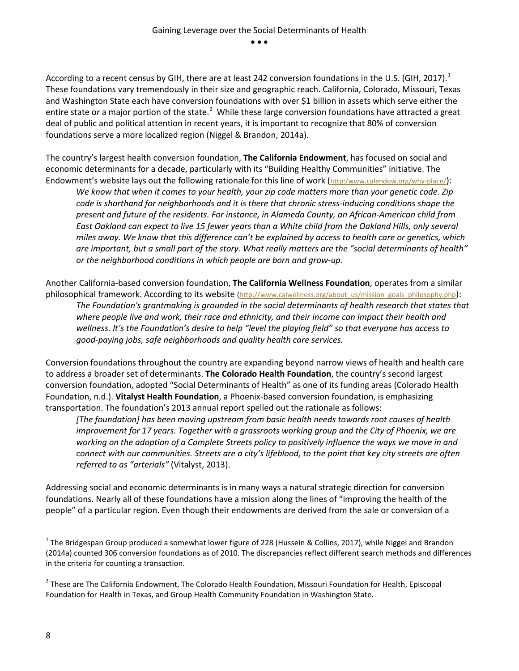According to a recent census by GIH, there are at least 242 conversion foundations in the U.S. (GIH, 20[1](#page-8-0)7).<sup>1</sup> These foundations vary tremendously in their size and geographic reach. California, Colorado, Missouri, Texas and Washington State each have conversion foundations with over \$1 billion in assets which serve either the entire state or a major portion of the state.<sup>[2](#page-8-1)</sup> While these large conversion foundations have attracted a great deal of public and political attention in recent years, it is important to recognize that 80% of conversion foundations serve a more localized region (Niggel & Brandon, 2014a).

The country's largest health conversion foundation, **The California Endowment**, has focused on social and economic determinants for a decade, particularly with its "Building Healthy Communities" initiative. The Endowment's website lays out the following rationale for this line of work [\(http:/www.calendow.org/why-place/\)](http://www.calendow.org/why-place/):

*We know that when it comes to your health, your zip code matters more than your genetic code. Zip code is shorthand for neighborhoods and it is there that chronic stress-inducing conditions shape the present and future of the residents. For instance, in Alameda County, an African-American child from*  East Oakland can expect to live 15 fewer years than a White child from the Oakland Hills, only several *miles away. We know that this difference can't be explained by access to health care or genetics, which are important, but a small part of the story. What really matters are the "social determinants of health" or the neighborhood conditions in which people are born and grow-up.* 

Another California-based conversion foundation, **The California Wellness Foundation**, operates from a similar philosophical framework. According to its website [\(http://www.calwellness.org/about\\_us/mission\\_goals\\_philosophy.php\)](http://www.calwellness.org/about_us/mission_goals_philosophy.php): *The Foundation's grantmaking is grounded in the social determinants of health research that states that where people live and work, their race and ethnicity, and their income can impact their health and wellness. It's the Foundation's desire to help "level the playing field" so that everyone has access to good-paying jobs, safe neighborhoods and quality health care services.* 

Conversion foundations throughout the country are expanding beyond narrow views of health and health care to address a broader set of determinants. **The Colorado Health Foundation**, the country's second largest conversion foundation, adopted "Social Determinants of Health" as one of its funding areas (Colorado Health Foundation, n.d.). **Vitalyst Health Foundation**, a Phoenix-based conversion foundation, is emphasizing transportation. The foundation's 2013 annual report spelled out the rationale as follows:

*[The foundation] has been moving upstream from basic health needs towards root causes of health improvement for 17 years. Together with a grassroots working group and the City of Phoenix, we are working on the adoption of a Complete Streets policy to positively influence the ways we move in and connect with our communities. Streets are a city's lifeblood, to the point that key city streets are often referred to as "arterials"* (Vitalyst, 2013).

Addressing social and economic determinants is in many ways a natural strategic direction for conversion foundations. Nearly all of these foundations have a mission along the lines of "improving the health of the people" of a particular region. Even though their endowments are derived from the sale or conversion of a

<span id="page-8-0"></span> $1$  The Bridgespan Group produced a somewhat lower figure of 228 (Hussein & Collins, 2017), while Niggel and Brandon (2014a) counted 306 conversion foundations as of 2010. The discrepancies reflect different search methods and differences in the criteria for counting a transaction.

<span id="page-8-1"></span><sup>&</sup>lt;sup>2</sup> These are The California Endowment, The Colorado Health Foundation, Missouri Foundation for Health, Episcopal Foundation for Health in Texas, and Group Health Community Foundation in Washington State.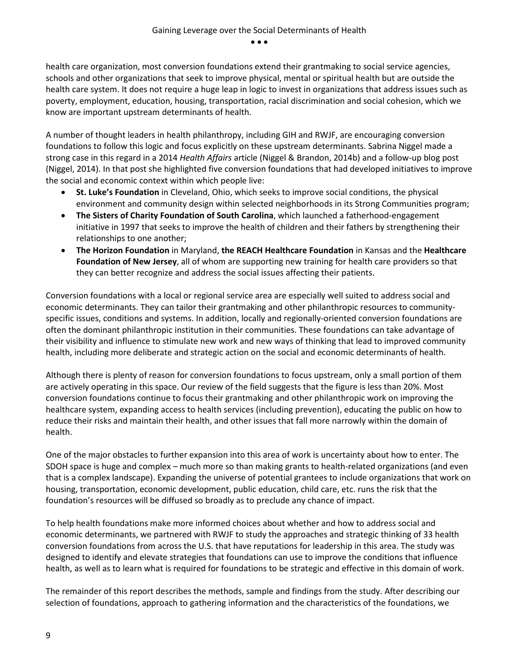health care organization, most conversion foundations extend their grantmaking to social service agencies, schools and other organizations that seek to improve physical, mental or spiritual health but are outside the health care system. It does not require a huge leap in logic to invest in organizations that address issues such as poverty, employment, education, housing, transportation, racial discrimination and social cohesion, which we know are important upstream determinants of health.

A number of thought leaders in health philanthropy, including GIH and RWJF, are encouraging conversion foundations to follow this logic and focus explicitly on these upstream determinants. Sabrina Niggel made a strong case in this regard in a 2014 *Health Affairs* article (Niggel & Brandon, 2014b) and a follow-up blog post (Niggel, 2014). In that post she highlighted five conversion foundations that had developed initiatives to improve the social and economic context within which people live:

- **St. Luke's Foundation** in Cleveland, Ohio, which seeks to improve social conditions, the physical environment and community design within selected neighborhoods in its Strong Communities program;
- **The Sisters of Charity Foundation of South Carolina**, which launched a fatherhood-engagement initiative in 1997 that seeks to improve the health of children and their fathers by strengthening their relationships to one another;
- **The Horizon Foundation** in Maryland, **the REACH Healthcare Foundation** in Kansas and the **Healthcare Foundation of New Jersey**, all of whom are supporting new training for health care providers so that they can better recognize and address the social issues affecting their patients.

Conversion foundations with a local or regional service area are especially well suited to address social and economic determinants. They can tailor their grantmaking and other philanthropic resources to communityspecific issues, conditions and systems. In addition, locally and regionally-oriented conversion foundations are often the dominant philanthropic institution in their communities. These foundations can take advantage of their visibility and influence to stimulate new work and new ways of thinking that lead to improved community health, including more deliberate and strategic action on the social and economic determinants of health.

Although there is plenty of reason for conversion foundations to focus upstream, only a small portion of them are actively operating in this space. Our review of the field suggests that the figure is less than 20%. Most conversion foundations continue to focus their grantmaking and other philanthropic work on improving the healthcare system, expanding access to health services (including prevention), educating the public on how to reduce their risks and maintain their health, and other issues that fall more narrowly within the domain of health.

One of the major obstacles to further expansion into this area of work is uncertainty about how to enter. The SDOH space is huge and complex – much more so than making grants to health-related organizations (and even that is a complex landscape). Expanding the universe of potential grantees to include organizations that work on housing, transportation, economic development, public education, child care, etc. runs the risk that the foundation's resources will be diffused so broadly as to preclude any chance of impact.

To help health foundations make more informed choices about whether and how to address social and economic determinants, we partnered with RWJF to study the approaches and strategic thinking of 33 health conversion foundations from across the U.S. that have reputations for leadership in this area. The study was designed to identify and elevate strategies that foundations can use to improve the conditions that influence health, as well as to learn what is required for foundations to be strategic and effective in this domain of work.

The remainder of this report describes the methods, sample and findings from the study. After describing our selection of foundations, approach to gathering information and the characteristics of the foundations, we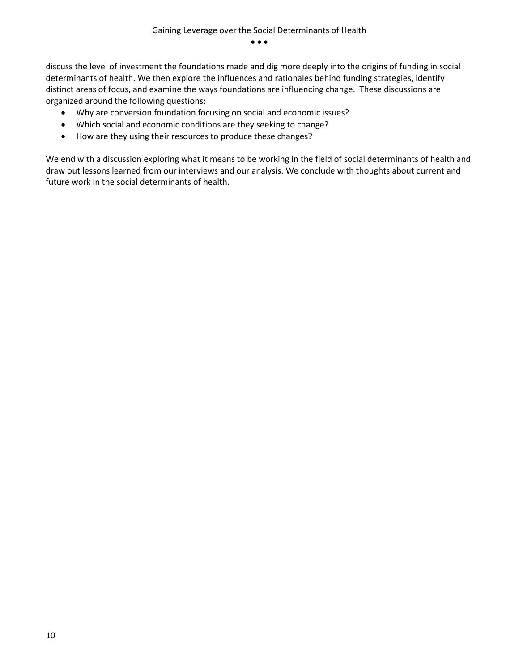discuss the level of investment the foundations made and dig more deeply into the origins of funding in social determinants of health. We then explore the influences and rationales behind funding strategies, identify distinct areas of focus, and examine the ways foundations are influencing change. These discussions are organized around the following questions:

- Why are conversion foundation focusing on social and economic issues?
- Which social and economic conditions are they seeking to change?
- How are they using their resources to produce these changes?

We end with a discussion exploring what it means to be working in the field of social determinants of health and draw out lessons learned from our interviews and our analysis. We conclude with thoughts about current and future work in the social determinants of health.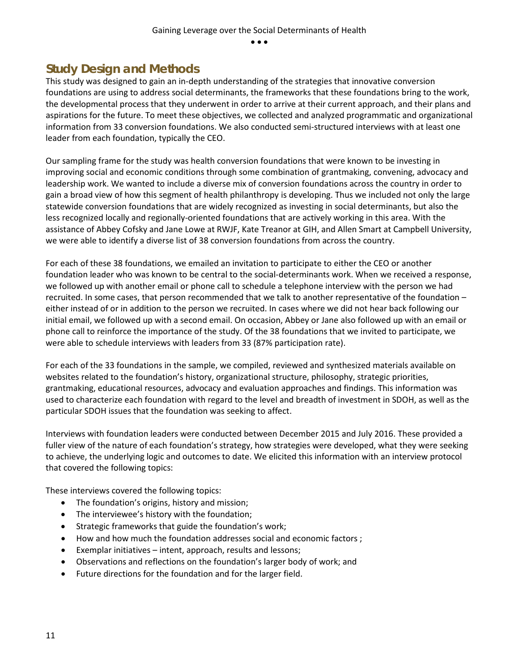## <span id="page-11-0"></span>**Study Design and Methods**

This study was designed to gain an in-depth understanding of the strategies that innovative conversion foundations are using to address social determinants, the frameworks that these foundations bring to the work, the developmental process that they underwent in order to arrive at their current approach, and their plans and aspirations for the future. To meet these objectives, we collected and analyzed programmatic and organizational information from 33 conversion foundations. We also conducted semi-structured interviews with at least one leader from each foundation, typically the CEO.

Our sampling frame for the study was health conversion foundations that were known to be investing in improving social and economic conditions through some combination of grantmaking, convening, advocacy and leadership work. We wanted to include a diverse mix of conversion foundations across the country in order to gain a broad view of how this segment of health philanthropy is developing. Thus we included not only the large statewide conversion foundations that are widely recognized as investing in social determinants, but also the less recognized locally and regionally-oriented foundations that are actively working in this area. With the assistance of Abbey Cofsky and Jane Lowe at RWJF, Kate Treanor at GIH, and Allen Smart at Campbell University, we were able to identify a diverse list of 38 conversion foundations from across the country.

For each of these 38 foundations, we emailed an invitation to participate to either the CEO or another foundation leader who was known to be central to the social-determinants work. When we received a response, we followed up with another email or phone call to schedule a telephone interview with the person we had recruited. In some cases, that person recommended that we talk to another representative of the foundation – either instead of or in addition to the person we recruited. In cases where we did not hear back following our initial email, we followed up with a second email. On occasion, Abbey or Jane also followed up with an email or phone call to reinforce the importance of the study. Of the 38 foundations that we invited to participate, we were able to schedule interviews with leaders from 33 (87% participation rate).

For each of the 33 foundations in the sample, we compiled, reviewed and synthesized materials available on websites related to the foundation's history, organizational structure, philosophy, strategic priorities, grantmaking, educational resources, advocacy and evaluation approaches and findings. This information was used to characterize each foundation with regard to the level and breadth of investment in SDOH, as well as the particular SDOH issues that the foundation was seeking to affect.

Interviews with foundation leaders were conducted between December 2015 and July 2016. These provided a fuller view of the nature of each foundation's strategy, how strategies were developed, what they were seeking to achieve, the underlying logic and outcomes to date. We elicited this information with an interview protocol that covered the following topics:

These interviews covered the following topics:

- The foundation's origins, history and mission;
- The interviewee's history with the foundation;
- Strategic frameworks that guide the foundation's work;
- How and how much the foundation addresses social and economic factors ;
- Exemplar initiatives intent, approach, results and lessons;
- Observations and reflections on the foundation's larger body of work; and
- Future directions for the foundation and for the larger field.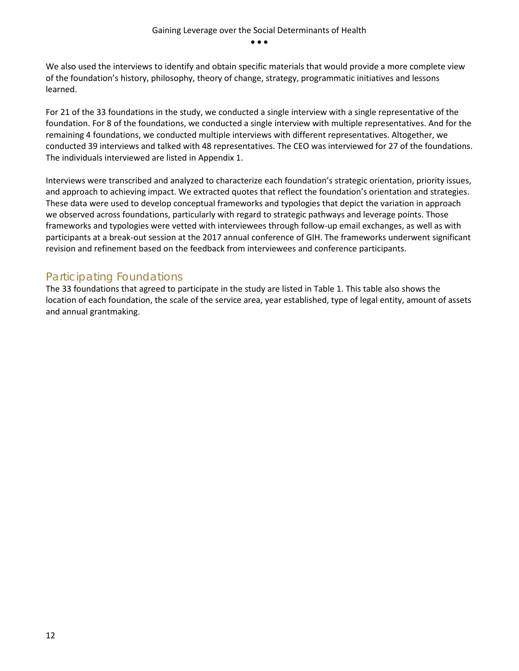We also used the interviews to identify and obtain specific materials that would provide a more complete view of the foundation's history, philosophy, theory of change, strategy, programmatic initiatives and lessons learned.

For 21 of the 33 foundations in the study, we conducted a single interview with a single representative of the foundation. For 8 of the foundations, we conducted a single interview with multiple representatives. And for the remaining 4 foundations, we conducted multiple interviews with different representatives. Altogether, we conducted 39 interviews and talked with 48 representatives. The CEO was interviewed for 27 of the foundations. The individuals interviewed are listed in Appendix 1.

Interviews were transcribed and analyzed to characterize each foundation's strategic orientation, priority issues, and approach to achieving impact. We extracted quotes that reflect the foundation's orientation and strategies. These data were used to develop conceptual frameworks and typologies that depict the variation in approach we observed across foundations, particularly with regard to strategic pathways and leverage points. Those frameworks and typologies were vetted with interviewees through follow-up email exchanges, as well as with participants at a break-out session at the 2017 annual conference of GIH. The frameworks underwent significant revision and refinement based on the feedback from interviewees and conference participants.

### <span id="page-12-0"></span>Participating Foundations

The 33 foundations that agreed to participate in the study are listed in Table 1. This table also shows the location of each foundation, the scale of the service area, year established, type of legal entity, amount of assets and annual grantmaking.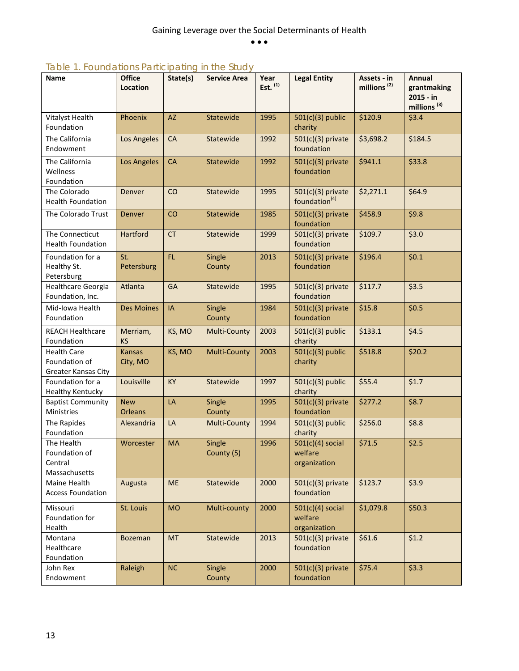## *Table 1. Foundations Participating in the Study*

| <b>Name</b>                                                       | <b>Office</b><br><b>Location</b> | State(s)  | <b>Service Area</b>  | Year<br>Est. $(1)$ | <b>Legal Entity</b>                              | Assets - in<br>millions <sup>(2)</sup> | Annual<br>grantmaking<br>2015 - in<br>millions <sup>(3)</sup> |
|-------------------------------------------------------------------|----------------------------------|-----------|----------------------|--------------------|--------------------------------------------------|----------------------------------------|---------------------------------------------------------------|
| Vitalyst Health<br>Foundation                                     | Phoenix                          | <b>AZ</b> | Statewide            | 1995               | $501(c)(3)$ public<br>charity                    | \$120.9                                | \$3.4                                                         |
| The California<br>Endowment                                       | Los Angeles                      | <b>CA</b> | Statewide            | 1992               | $501(c)(3)$ private<br>foundation                | \$3,698.2                              | \$184.5                                                       |
| The California<br>Wellness<br>Foundation                          | Los Angeles                      | <b>CA</b> | Statewide            | 1992               | $501(c)(3)$ private<br>foundation                | \$941.1                                | \$33.8                                                        |
| The Colorado<br><b>Health Foundation</b>                          | Denver                           | CO        | Statewide            | 1995               | $501(c)(3)$ private<br>foundation <sup>(4)</sup> | \$2,271.1                              | \$64.9                                                        |
| The Colorado Trust                                                | <b>Denver</b>                    | CO        | Statewide            | 1985               | $501(c)(3)$ private<br>foundation                | \$458.9                                | \$9.8                                                         |
| The Connecticut<br><b>Health Foundation</b>                       | Hartford                         | <b>CT</b> | Statewide            | 1999               | $501(c)(3)$ private<br>foundation                | \$109.7                                | \$3.0                                                         |
| Foundation for a<br>Healthy St.<br>Petersburg                     | St.<br>Petersburg                | FL.       | Single<br>County     | 2013               | $501(c)(3)$ private<br>foundation                | \$196.4                                | \$0.1                                                         |
| <b>Healthcare Georgia</b><br>Foundation, Inc.                     | Atlanta                          | <b>GA</b> | Statewide            | 1995               | $501(c)(3)$ private<br>foundation                | \$117.7                                | \$3.5                                                         |
| Mid-Iowa Health<br>Foundation                                     | <b>Des Moines</b>                | IA        | Single<br>County     | 1984               | $501(c)(3)$ private<br>foundation                | \$15.8                                 | \$0.5                                                         |
| <b>REACH Healthcare</b><br>Foundation                             | Merriam,<br><b>KS</b>            | KS, MO    | <b>Multi-County</b>  | 2003               | $501(c)(3)$ public<br>charity                    | \$133.1                                | \$4.5                                                         |
| <b>Health Care</b><br>Foundation of<br><b>Greater Kansas City</b> | <b>Kansas</b><br>City, MO        | KS, MO    | <b>Multi-County</b>  | 2003               | $501(c)(3)$ public<br>charity                    | \$518.8                                | \$20.2\$                                                      |
| Foundation for a<br><b>Healthy Kentucky</b>                       | Louisville                       | KY        | Statewide            | 1997               | $501(c)(3)$ public<br>charity                    | \$55.4                                 | \$1.7                                                         |
| <b>Baptist Community</b><br>Ministries                            | <b>New</b><br><b>Orleans</b>     | LA        | Single<br>County     | 1995               | $501(c)(3)$ private<br>foundation                | \$277.2                                | \$8.7                                                         |
| The Rapides<br>Foundation                                         | Alexandria                       | LA        | Multi-County         | 1994               | $501(c)(3)$ public<br>charity                    | \$256.0                                | \$8.8                                                         |
| The Health<br>Foundation of<br>Central<br>Massachusetts           | Worcester                        | <b>MA</b> | Single<br>County (5) | 1996               | $501(c)(4)$ social<br>welfare<br>organization    | \$71.5                                 | \$2.5                                                         |
| Maine Health<br><b>Access Foundation</b>                          | Augusta                          | <b>ME</b> | Statewide            | 2000               | $501(c)(3)$ private<br>foundation                | \$123.7                                | \$3.9                                                         |
| Missouri<br>Foundation for<br>Health                              | St. Louis                        | <b>MO</b> | Multi-county         | 2000               | $501(c)(4)$ social<br>welfare<br>organization    | \$1,079.8                              | \$50.3                                                        |
| Montana<br>Healthcare<br>Foundation                               | Bozeman                          | <b>MT</b> | Statewide            | 2013               | $501(c)(3)$ private<br>foundation                | \$61.6                                 | \$1.2                                                         |
| John Rex<br>Endowment                                             | Raleigh                          | NC        | Single<br>County     | 2000               | $501(c)(3)$ private<br>foundation                | \$75.4                                 | \$3.3                                                         |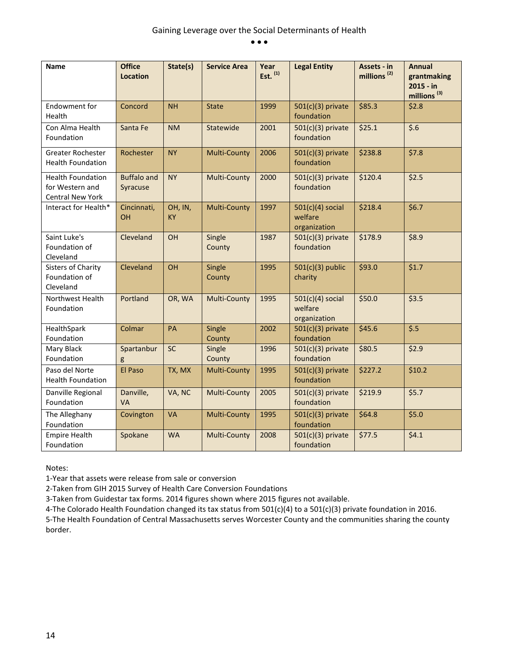| <b>Name</b>                                                            | <b>Office</b><br><b>Location</b> | State(s)             | <b>Service Area</b> | Year<br>Est. $(1)$ | <b>Legal Entity</b>                           | Assets - in<br>millions <sup>(2)</sup> | <b>Annual</b><br>grantmaking<br>2015 - in<br>millions <sup>(3)</sup> |
|------------------------------------------------------------------------|----------------------------------|----------------------|---------------------|--------------------|-----------------------------------------------|----------------------------------------|----------------------------------------------------------------------|
| Endowment for<br>Health                                                | Concord                          | <b>NH</b>            | <b>State</b>        | 1999               | $501(c)(3)$ private<br>foundation             | \$85.3                                 | \$2.8                                                                |
| Con Alma Health<br>Foundation                                          | Santa Fe                         | <b>NM</b>            | Statewide           | 2001               | $501(c)(3)$ private<br>foundation             | \$25.1                                 | \$.6                                                                 |
| <b>Greater Rochester</b><br><b>Health Foundation</b>                   | Rochester                        | <b>NY</b>            | <b>Multi-County</b> | 2006               | $501(c)(3)$ private<br>foundation             | \$238.8                                | \$7.8                                                                |
| <b>Health Foundation</b><br>for Western and<br><b>Central New York</b> | <b>Buffalo and</b><br>Syracuse   | <b>NY</b>            | <b>Multi-County</b> | 2000               | $501(c)(3)$ private<br>foundation             | \$120.4                                | \$2.5                                                                |
| Interact for Health*                                                   | Cincinnati,<br>OH                | OH, IN,<br><b>KY</b> | <b>Multi-County</b> | 1997               | $501(c)(4)$ social<br>welfare<br>organization | \$218.4                                | \$6.7                                                                |
| Saint Luke's<br>Foundation of<br>Cleveland                             | Cleveland                        | OH                   | Single<br>County    | 1987               | $501(c)(3)$ private<br>foundation             | \$178.9                                | \$8.9                                                                |
| <b>Sisters of Charity</b><br>Foundation of<br>Cleveland                | Cleveland                        | OH                   | Single<br>County    | 1995               | $501(c)(3)$ public<br>charity                 | \$93.0                                 | \$1.7                                                                |
| <b>Northwest Health</b><br>Foundation                                  | Portland                         | OR, WA               | <b>Multi-County</b> | 1995               | $501(c)(4)$ social<br>welfare<br>organization | \$50.0                                 | \$3.5                                                                |
| HealthSpark<br>Foundation                                              | Colmar                           | PA                   | Single<br>County    | 2002               | $501(c)(3)$ private<br>foundation             | \$45.6                                 | $\overline{\$.5}$                                                    |
| Mary Black<br>Foundation                                               | Spartanbur<br>g                  | SC                   | Single<br>County    | 1996               | $501(c)(3)$ private<br>foundation             | \$80.5                                 | \$2.9                                                                |
| Paso del Norte<br><b>Health Foundation</b>                             | El Paso                          | TX, MX               | <b>Multi-County</b> | 1995               | $501(c)(3)$ private<br>foundation             | \$227.2                                | \$10.2                                                               |
| Danville Regional<br>Foundation                                        | Danville,<br><b>VA</b>           | VA, NC               | <b>Multi-County</b> | 2005               | $501(c)(3)$ private<br>foundation             | \$219.9                                | \$5.7                                                                |
| The Alleghany<br>Foundation                                            | Covington                        | <b>VA</b>            | <b>Multi-County</b> | 1995               | $501(c)(3)$ private<br>foundation             | \$64.8                                 | \$5.0                                                                |
| <b>Empire Health</b><br>Foundation                                     | Spokane                          | <b>WA</b>            | <b>Multi-County</b> | 2008               | $501(c)(3)$ private<br>foundation             | \$77.5                                 | \$4.1                                                                |

Notes:

1-Year that assets were release from sale or conversion

2-Taken from GIH 2015 Survey of Health Care Conversion Foundations

3-Taken from Guidestar tax forms. 2014 figures shown where 2015 figures not available.

4-The Colorado Health Foundation changed its tax status from 501(c)(4) to a 501(c)(3) private foundation in 2016.

5-The Health Foundation of Central Massachusetts serves Worcester County and the communities sharing the county border.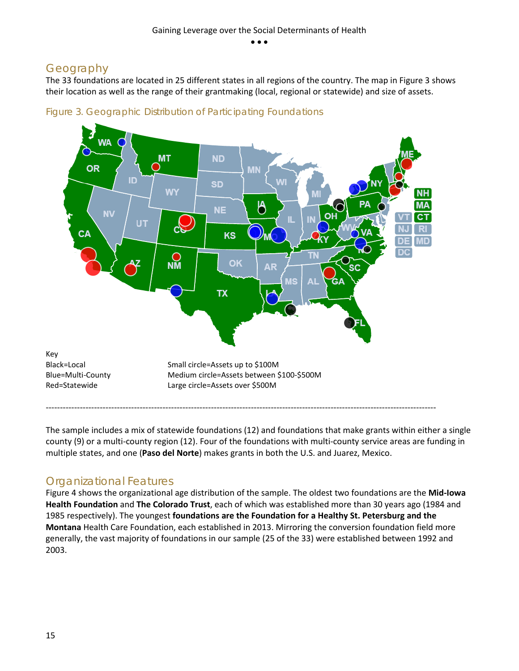## <span id="page-15-0"></span>Geography

The 33 foundations are located in 25 different states in all regions of the country. The map in Figure 3 shows their location as well as the range of their grantmaking (local, regional or statewide) and size of assets.





The sample includes a mix of statewide foundations (12) and foundations that make grants within either a single county (9) or a multi-county region (12). Four of the foundations with multi-county service areas are funding in multiple states, and one (**Paso del Norte**) makes grants in both the U.S. and Juarez, Mexico.

## <span id="page-15-1"></span>Organizational Features

Figure 4 shows the organizational age distribution of the sample. The oldest two foundations are the **Mid-Iowa Health Foundation** and **The Colorado Trust**, each of which was established more than 30 years ago (1984 and 1985 respectively). The youngest **foundations are the Foundation for a Healthy St. Petersburg and the Montana** Health Care Foundation, each established in 2013. Mirroring the conversion foundation field more generally, the vast majority of foundations in our sample (25 of the 33) were established between 1992 and 2003.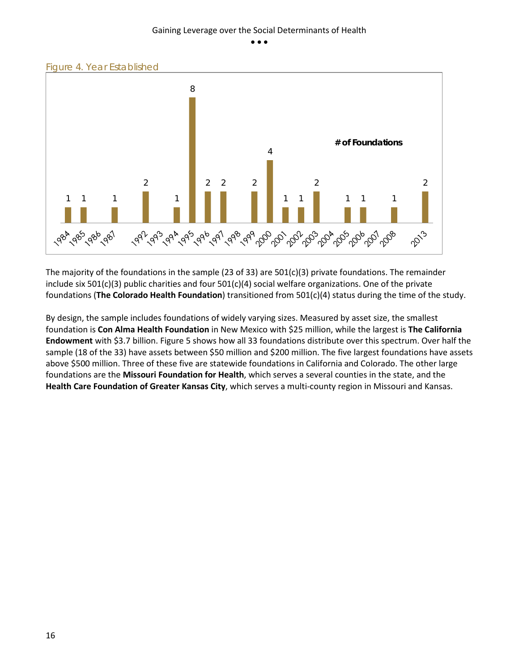



The majority of the foundations in the sample (23 of 33) are 501(c)(3) private foundations. The remainder include six 501(c)(3) public charities and four 501(c)(4) social welfare organizations. One of the private foundations (**The Colorado Health Foundation**) transitioned from 501(c)(4) status during the time of the study.

By design, the sample includes foundations of widely varying sizes. Measured by asset size, the smallest foundation is **Con Alma Health Foundation** in New Mexico with \$25 million, while the largest is **The California Endowment** with \$3.7 billion. Figure 5 shows how all 33 foundations distribute over this spectrum. Over half the sample (18 of the 33) have assets between \$50 million and \$200 million. The five largest foundations have assets above \$500 million. Three of these five are statewide foundations in California and Colorado. The other large foundations are the **Missouri Foundation for Health**, which serves a several counties in the state, and the **Health Care Foundation of Greater Kansas City**, which serves a multi-county region in Missouri and Kansas.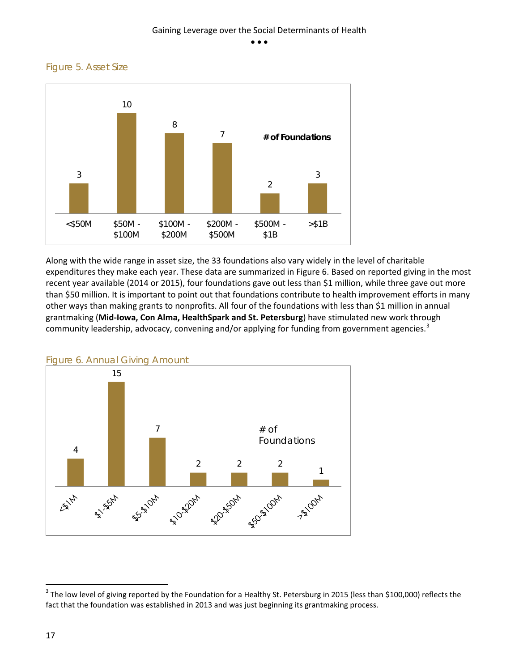#### Gaining Leverage over the Social Determinants of Health

• • •

*Figure 5. Asset Size*



Along with the wide range in asset size, the 33 foundations also vary widely in the level of charitable expenditures they make each year. These data are summarized in Figure 6. Based on reported giving in the most recent year available (2014 or 2015), four foundations gave out less than \$1 million, while three gave out more than \$50 million. It is important to point out that foundations contribute to health improvement efforts in many other ways than making grants to nonprofits. All four of the foundations with less than \$1 million in annual grantmaking (**Mid-Iowa, Con Alma, HealthSpark and St. Petersburg**) have stimulated new work through community leadership, advocacy, convening and/or applying for funding from government agencies.<sup>[3](#page-17-0)</sup>



*Figure 6. Annual Giving Amount*

<span id="page-17-0"></span><sup>&</sup>lt;sup>3</sup> The low level of giving reported by the Foundation for a Healthy St. Petersburg in 2015 (less than \$100,000) reflects the fact that the foundation was established in 2013 and was just beginning its grantmaking process.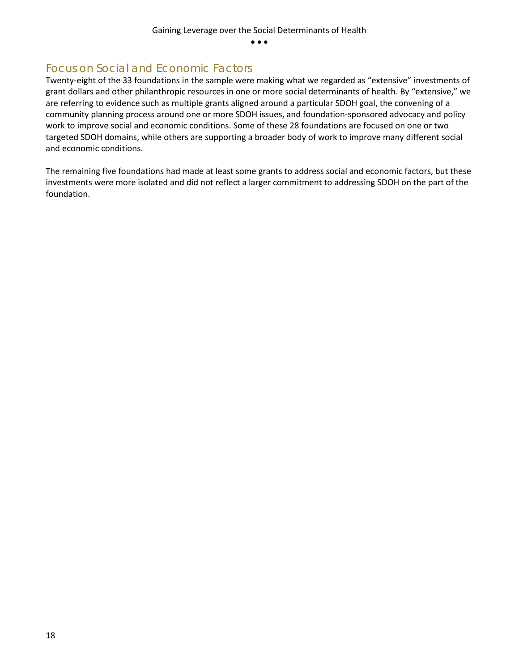### <span id="page-18-0"></span>Focus on Social and Economic Factors

Twenty-eight of the 33 foundations in the sample were making what we regarded as "extensive" investments of grant dollars and other philanthropic resources in one or more social determinants of health. By "extensive," we are referring to evidence such as multiple grants aligned around a particular SDOH goal, the convening of a community planning process around one or more SDOH issues, and foundation-sponsored advocacy and policy work to improve social and economic conditions. Some of these 28 foundations are focused on one or two targeted SDOH domains, while others are supporting a broader body of work to improve many different social and economic conditions.

The remaining five foundations had made at least some grants to address social and economic factors, but these investments were more isolated and did not reflect a larger commitment to addressing SDOH on the part of the foundation.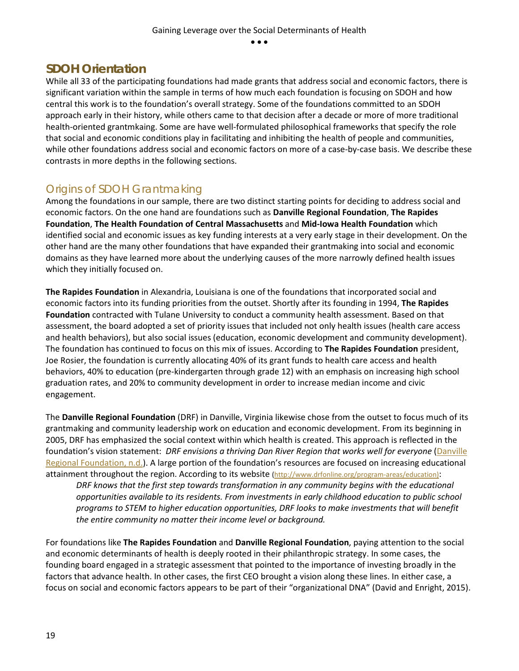## <span id="page-19-0"></span>**SDOH Orientation**

While all 33 of the participating foundations had made grants that address social and economic factors, there is significant variation within the sample in terms of how much each foundation is focusing on SDOH and how central this work is to the foundation's overall strategy. Some of the foundations committed to an SDOH approach early in their history, while others came to that decision after a decade or more of more traditional health-oriented grantmkaing. Some are have well-formulated philosophical frameworks that specify the role that social and economic conditions play in facilitating and inhibiting the health of people and communities, while other foundations address social and economic factors on more of a case-by-case basis. We describe these contrasts in more depths in the following sections.

## <span id="page-19-1"></span>Origins of SDOH Grantmaking

Among the foundations in our sample, there are two distinct starting points for deciding to address social and economic factors. On the one hand are foundations such as **Danville Regional Foundation**, **The Rapides Foundation**, **The Health Foundation of Central Massachusetts** and **Mid-Iowa Health Foundation** which identified social and economic issues as key funding interests at a very early stage in their development. On the other hand are the many other foundations that have expanded their grantmaking into social and economic domains as they have learned more about the underlying causes of the more narrowly defined health issues which they initially focused on.

**The Rapides Foundation** in Alexandria, Louisiana is one of the foundations that incorporated social and economic factors into its funding priorities from the outset. Shortly after its founding in 1994, **The Rapides Foundation** contracted with Tulane University to conduct a community health assessment. Based on that assessment, the board adopted a set of priority issues that included not only health issues (health care access and health behaviors), but also social issues (education, economic development and community development). The foundation has continued to focus on this mix of issues. According to **The Rapides Foundation** president, Joe Rosier, the foundation is currently allocating 40% of its grant funds to health care access and health behaviors, 40% to education (pre-kindergarten through grade 12) with an emphasis on increasing high school graduation rates, and 20% to community development in order to increase median income and civic engagement.

The **Danville Regional Foundation** (DRF) in Danville, Virginia likewise chose from the outset to focus much of its grantmaking and community leadership work on education and economic development. From its beginning in 2005, DRF has emphasized the social context within which health is created. This approach is reflected in the foundation's vision statement: *DRF envisions a thriving Dan River Region that works well for everyone* [\(Danville](http://www.drfonline.org/about-drf)  [Regional Foundation, n.d.\)](http://www.drfonline.org/about-drf). A large portion of the foundation's resources are focused on increasing educational attainment throughout the region. According to its website [\(http://www.drfonline.org/program-areas/education\)](http://www.drfonline.org/program-areas/education):

DRF knows that the first step towards transformation in any community begins with the educational *opportunities available to its residents. From investments in early childhood education to public school programs to STEM to higher education opportunities, DRF looks to make investments that will benefit the entire community no matter their income level or background.* 

For foundations like **The Rapides Foundation** and **Danville Regional Foundation**, paying attention to the social and economic determinants of health is deeply rooted in their philanthropic strategy. In some cases, the founding board engaged in a strategic assessment that pointed to the importance of investing broadly in the factors that advance health. In other cases, the first CEO brought a vision along these lines. In either case, a focus on social and economic factors appears to be part of their "organizational DNA" (David and Enright, 2015).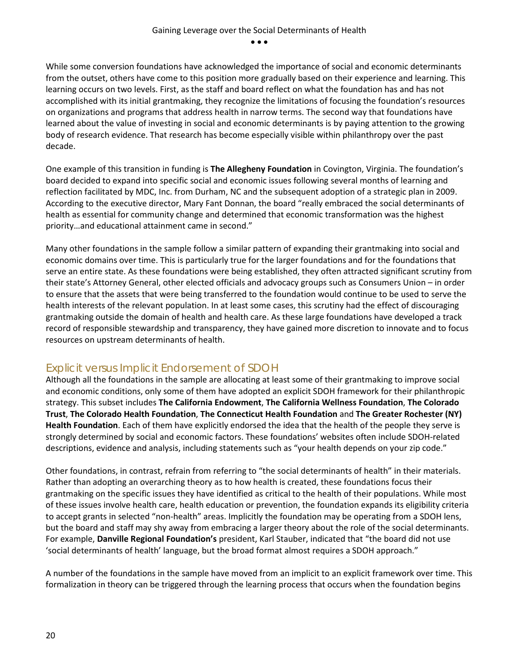While some conversion foundations have acknowledged the importance of social and economic determinants from the outset, others have come to this position more gradually based on their experience and learning. This learning occurs on two levels. First, as the staff and board reflect on what the foundation has and has not accomplished with its initial grantmaking, they recognize the limitations of focusing the foundation's resources on organizations and programs that address health in narrow terms. The second way that foundations have learned about the value of investing in social and economic determinants is by paying attention to the growing body of research evidence. That research has become especially visible within philanthropy over the past decade.

One example of this transition in funding is **The Allegheny Foundation** in Covington, Virginia. The foundation's board decided to expand into specific social and economic issues following several months of learning and reflection facilitated by MDC, Inc. from Durham, NC and the subsequent adoption of a strategic plan in 2009. According to the executive director, Mary Fant Donnan, the board "really embraced the social determinants of health as essential for community change and determined that economic transformation was the highest priority…and educational attainment came in second."

Many other foundations in the sample follow a similar pattern of expanding their grantmaking into social and economic domains over time. This is particularly true for the larger foundations and for the foundations that serve an entire state. As these foundations were being established, they often attracted significant scrutiny from their state's Attorney General, other elected officials and advocacy groups such as Consumers Union – in order to ensure that the assets that were being transferred to the foundation would continue to be used to serve the health interests of the relevant population. In at least some cases, this scrutiny had the effect of discouraging grantmaking outside the domain of health and health care. As these large foundations have developed a track record of responsible stewardship and transparency, they have gained more discretion to innovate and to focus resources on upstream determinants of health.

#### <span id="page-20-0"></span>Explicit versus Implicit Endorsement of SDOH

Although all the foundations in the sample are allocating at least some of their grantmaking to improve social and economic conditions, only some of them have adopted an explicit SDOH framework for their philanthropic strategy. This subset includes **The California Endowment**, **The California Wellness Foundation**, **The Colorado Trust**, **The Colorado Health Foundation**, **The Connecticut Health Foundation** and **The Greater Rochester (NY) Health Foundation**. Each of them have explicitly endorsed the idea that the health of the people they serve is strongly determined by social and economic factors. These foundations' websites often include SDOH-related descriptions, evidence and analysis, including statements such as "your health depends on your zip code."

Other foundations, in contrast, refrain from referring to "the social determinants of health" in their materials. Rather than adopting an overarching theory as to how health is created, these foundations focus their grantmaking on the specific issues they have identified as critical to the health of their populations. While most of these issues involve health care, health education or prevention, the foundation expands its eligibility criteria to accept grants in selected "non-health" areas. Implicitly the foundation may be operating from a SDOH lens, but the board and staff may shy away from embracing a larger theory about the role of the social determinants. For example, **Danville Regional Foundation's** president, Karl Stauber, indicated that "the board did not use 'social determinants of health' language, but the broad format almost requires a SDOH approach."

A number of the foundations in the sample have moved from an implicit to an explicit framework over time. This formalization in theory can be triggered through the learning process that occurs when the foundation begins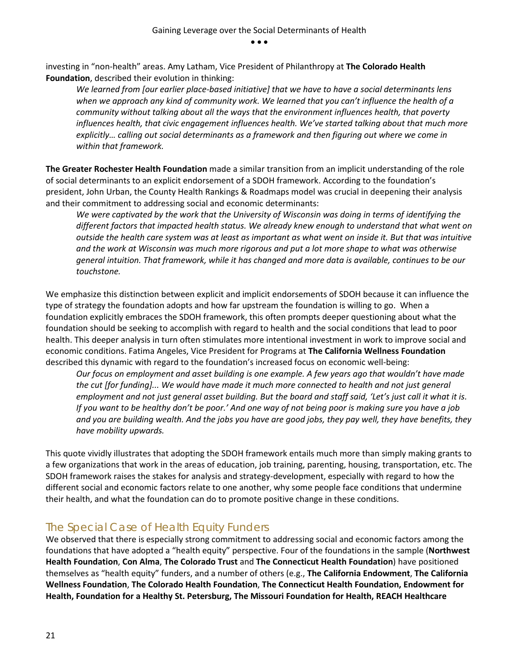investing in "non-health" areas. Amy Latham, Vice President of Philanthropy at **The Colorado Health Foundation**, described their evolution in thinking:

*We learned from [our earlier place-based initiative] that we have to have a social determinants lens when we approach any kind of community work. We learned that you can't influence the health of a community without talking about all the ways that the environment influences health, that poverty influences health, that civic engagement influences health. We've started talking about that much more explicitly… calling out social determinants as a framework and then figuring out where we come in within that framework.*

**The Greater Rochester Health Foundation** made a similar transition from an implicit understanding of the role of social determinants to an explicit endorsement of a SDOH framework. According to the foundation's president, John Urban, the County Health Rankings & Roadmaps model was crucial in deepening their analysis and their commitment to addressing social and economic determinants:

*We were captivated by the work that the University of Wisconsin was doing in terms of identifying the different factors that impacted health status. We already knew enough to understand that what went on outside the health care system was at least as important as what went on inside it. But that was intuitive and the work at Wisconsin was much more rigorous and put a lot more shape to what was otherwise general intuition. That framework, while it has changed and more data is available, continues to be our touchstone.*

We emphasize this distinction between explicit and implicit endorsements of SDOH because it can influence the type of strategy the foundation adopts and how far upstream the foundation is willing to go. When a foundation explicitly embraces the SDOH framework, this often prompts deeper questioning about what the foundation should be seeking to accomplish with regard to health and the social conditions that lead to poor health. This deeper analysis in turn often stimulates more intentional investment in work to improve social and economic conditions. Fatima Angeles, Vice President for Programs at **The California Wellness Foundation** described this dynamic with regard to the foundation's increased focus on economic well-being:

*Our focus on employment and asset building is one example. A few years ago that wouldn't have made the cut [for funding]... We would have made it much more connected to health and not just general employment and not just general asset building. But the board and staff said, 'Let's just call it what it is. If you want to be healthy don't be poor.' And one way of not being poor is making sure you have a job and you are building wealth. And the jobs you have are good jobs, they pay well, they have benefits, they have mobility upwards.*

This quote vividly illustrates that adopting the SDOH framework entails much more than simply making grants to a few organizations that work in the areas of education, job training, parenting, housing, transportation, etc. The SDOH framework raises the stakes for analysis and strategy-development, especially with regard to how the different social and economic factors relate to one another, why some people face conditions that undermine their health, and what the foundation can do to promote positive change in these conditions.

### <span id="page-21-0"></span>The Special Case of Health Equity Funders

We observed that there is especially strong commitment to addressing social and economic factors among the foundations that have adopted a "health equity" perspective. Four of the foundations in the sample (**Northwest Health Foundation**, **Con Alma**, **The Colorado Trust** and **The Connecticut Health Foundation**) have positioned themselves as "health equity" funders, and a number of others (e.g., **The California Endowment**, **The California Wellness Foundation**, **The Colorado Health Foundation**, **The Connecticut Health Foundation, Endowment for Health, Foundation for a Healthy St. Petersburg, The Missouri Foundation for Health, REACH Healthcare**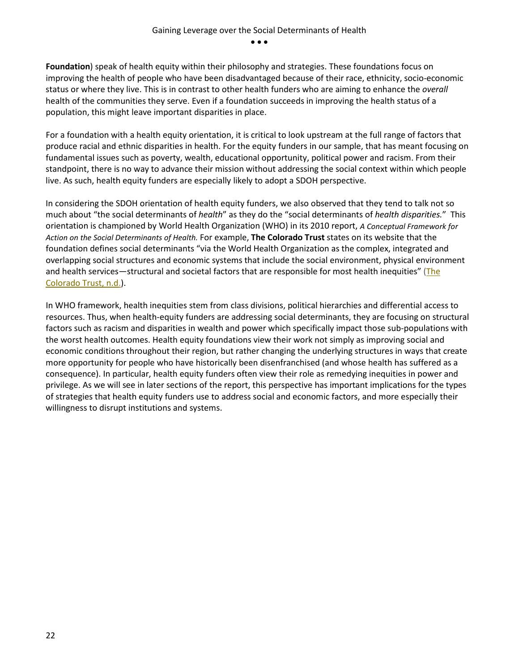**Foundation**) speak of health equity within their philosophy and strategies. These foundations focus on improving the health of people who have been disadvantaged because of their race, ethnicity, socio-economic status or where they live. This is in contrast to other health funders who are aiming to enhance the *overall* health of the communities they serve. Even if a foundation succeeds in improving the health status of a population, this might leave important disparities in place.

For a foundation with a health equity orientation, it is critical to look upstream at the full range of factors that produce racial and ethnic disparities in health. For the equity funders in our sample, that has meant focusing on fundamental issues such as poverty, wealth, educational opportunity, political power and racism. From their standpoint, there is no way to advance their mission without addressing the social context within which people live. As such, health equity funders are especially likely to adopt a SDOH perspective.

In considering the SDOH orientation of health equity funders, we also observed that they tend to talk not so much about "the social determinants of *health*" as they do the "social determinants of *health disparities.*" This orientation is championed by World Health Organization (WHO) in its 2010 report, *A Conceptual Framework for Action on the Social Determinants of Health.* For example, **The Colorado Trust** states on its website that the foundation defines social determinants "via the World Health Organization as the complex, integrated and overlapping social structures and economic systems that include the social environment, physical environment and health services—structural and societal factors that are responsible for most health inequities" [\(The](http://www.coloradotrust.org/who-we-are/health-equity)  [Colorado Trust, n.d.\)](http://www.coloradotrust.org/who-we-are/health-equity).

In WHO framework, health inequities stem from class divisions, political hierarchies and differential access to resources. Thus, when health-equity funders are addressing social determinants, they are focusing on structural factors such as racism and disparities in wealth and power which specifically impact those sub-populations with the worst health outcomes. Health equity foundations view their work not simply as improving social and economic conditions throughout their region, but rather changing the underlying structures in ways that create more opportunity for people who have historically been disenfranchised (and whose health has suffered as a consequence). In particular, health equity funders often view their role as remedying inequities in power and privilege. As we will see in later sections of the report, this perspective has important implications for the types of strategies that health equity funders use to address social and economic factors, and more especially their willingness to disrupt institutions and systems.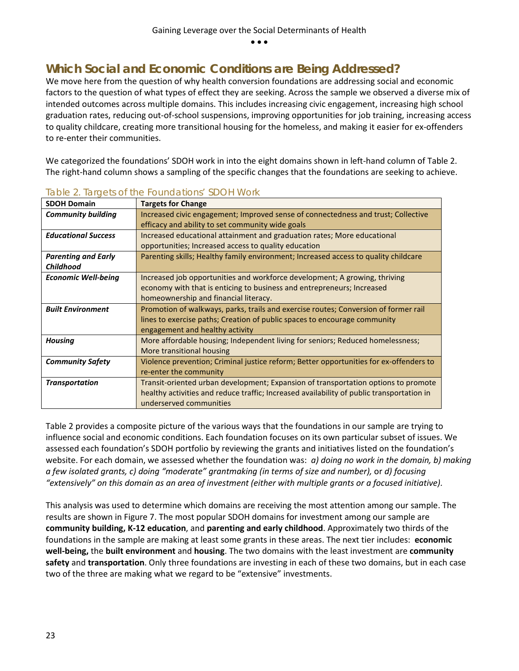## <span id="page-23-0"></span>**Which Social and Economic Conditions are Being Addressed?**

We move here from the question of why health conversion foundations are addressing social and economic factors to the question of what types of effect they are seeking. Across the sample we observed a diverse mix of intended outcomes across multiple domains. This includes increasing civic engagement, increasing high school graduation rates, reducing out-of-school suspensions, improving opportunities for job training, increasing access to quality childcare, creating more transitional housing for the homeless, and making it easier for ex-offenders to re-enter their communities.

We categorized the foundations' SDOH work in into the eight domains shown in left-hand column of Table 2. The right-hand column shows a sampling of the specific changes that the foundations are seeking to achieve.

| <b>SDOH Domain</b>         | <b>Targets for Change</b>                                                                 |
|----------------------------|-------------------------------------------------------------------------------------------|
| <b>Community building</b>  | Increased civic engagement; Improved sense of connectedness and trust; Collective         |
|                            | efficacy and ability to set community wide goals                                          |
| <b>Educational Success</b> | Increased educational attainment and graduation rates; More educational                   |
|                            | opportunities; Increased access to quality education                                      |
| <b>Parenting and Early</b> | Parenting skills; Healthy family environment; Increased access to quality childcare       |
| <b>Childhood</b>           |                                                                                           |
| <b>Economic Well-being</b> | Increased job opportunities and workforce development; A growing, thriving                |
|                            | economy with that is enticing to business and entrepreneurs; Increased                    |
|                            | homeownership and financial literacy.                                                     |
| <b>Built Environment</b>   | Promotion of walkways, parks, trails and exercise routes; Conversion of former rail       |
|                            | lines to exercise paths; Creation of public spaces to encourage community                 |
|                            | engagement and healthy activity                                                           |
| <b>Housing</b>             | More affordable housing; Independent living for seniors; Reduced homelessness;            |
|                            | More transitional housing                                                                 |
| <b>Community Safety</b>    | Violence prevention; Criminal justice reform; Better opportunities for ex-offenders to    |
|                            | re-enter the community                                                                    |
| <b>Transportation</b>      | Transit-oriented urban development; Expansion of transportation options to promote        |
|                            | healthy activities and reduce traffic; Increased availability of public transportation in |
|                            | underserved communities                                                                   |

#### *Table 2. Targets of the Foundations' SDOH Work*

Table 2 provides a composite picture of the various ways that the foundations in our sample are trying to influence social and economic conditions. Each foundation focuses on its own particular subset of issues. We assessed each foundation's SDOH portfolio by reviewing the grants and initiatives listed on the foundation's website. For each domain, we assessed whether the foundation was: *a) doing no work in the domain, b) making a few isolated grants, c) doing "moderate" grantmaking (in terms of size and number),* or *d) focusing "extensively" on this domain as an area of investment (either with multiple grants or a focused initiative).* 

This analysis was used to determine which domains are receiving the most attention among our sample. The results are shown in Figure 7. The most popular SDOH domains for investment among our sample are **community building, K-12 education**, and **parenting and early childhood**. Approximately two thirds of the foundations in the sample are making at least some grants in these areas. The next tier includes: **economic well-being,** the **built environment** and **housing**. The two domains with the least investment are **community safety** and **transportation**. Only three foundations are investing in each of these two domains, but in each case two of the three are making what we regard to be "extensive" investments.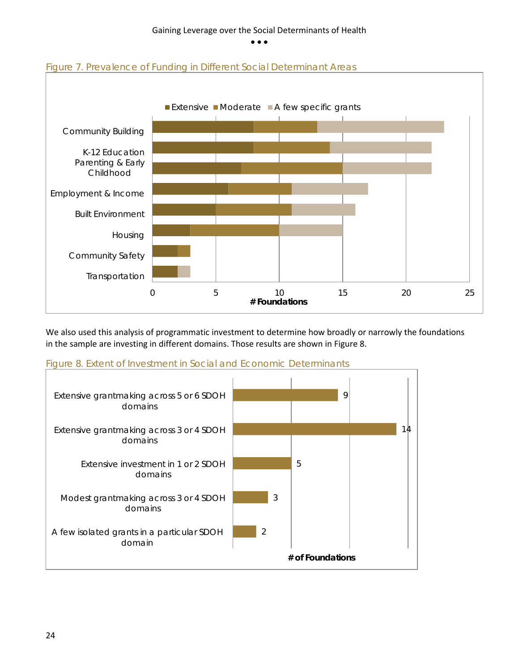



We also used this analysis of programmatic investment to determine how broadly or narrowly the foundations in the sample are investing in different domains. Those results are shown in Figure 8.



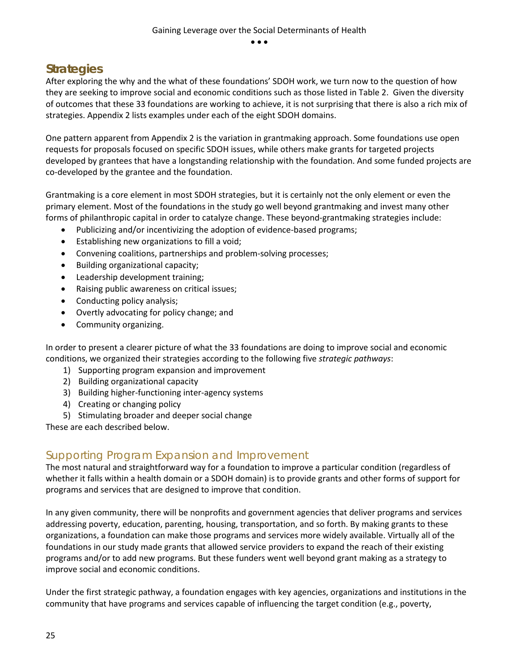## <span id="page-25-0"></span>**Strategies**

After exploring the why and the what of these foundations' SDOH work, we turn now to the question of how they are seeking to improve social and economic conditions such as those listed in Table 2. Given the diversity of outcomes that these 33 foundations are working to achieve, it is not surprising that there is also a rich mix of strategies. Appendix 2 lists examples under each of the eight SDOH domains.

One pattern apparent from Appendix 2 is the variation in grantmaking approach. Some foundations use open requests for proposals focused on specific SDOH issues, while others make grants for targeted projects developed by grantees that have a longstanding relationship with the foundation. And some funded projects are co-developed by the grantee and the foundation.

Grantmaking is a core element in most SDOH strategies, but it is certainly not the only element or even the primary element. Most of the foundations in the study go well beyond grantmaking and invest many other forms of philanthropic capital in order to catalyze change. These beyond-grantmaking strategies include:

- Publicizing and/or incentivizing the adoption of evidence-based programs;
- Establishing new organizations to fill a void;
- Convening coalitions, partnerships and problem-solving processes;
- Building organizational capacity;
- Leadership development training;
- Raising public awareness on critical issues;
- Conducting policy analysis;
- Overtly advocating for policy change; and
- Community organizing.

In order to present a clearer picture of what the 33 foundations are doing to improve social and economic conditions, we organized their strategies according to the following five *strategic pathways*:

- 1) Supporting program expansion and improvement
- 2) Building organizational capacity
- 3) Building higher-functioning inter-agency systems
- 4) Creating or changing policy
- 5) Stimulating broader and deeper social change

<span id="page-25-1"></span>These are each described below.

#### Supporting Program Expansion and Improvement

The most natural and straightforward way for a foundation to improve a particular condition (regardless of whether it falls within a health domain or a SDOH domain) is to provide grants and other forms of support for programs and services that are designed to improve that condition.

In any given community, there will be nonprofits and government agencies that deliver programs and services addressing poverty, education, parenting, housing, transportation, and so forth. By making grants to these organizations, a foundation can make those programs and services more widely available. Virtually all of the foundations in our study made grants that allowed service providers to expand the reach of their existing programs and/or to add new programs. But these funders went well beyond grant making as a strategy to improve social and economic conditions.

Under the first strategic pathway, a foundation engages with key agencies, organizations and institutions in the community that have programs and services capable of influencing the target condition (e.g., poverty,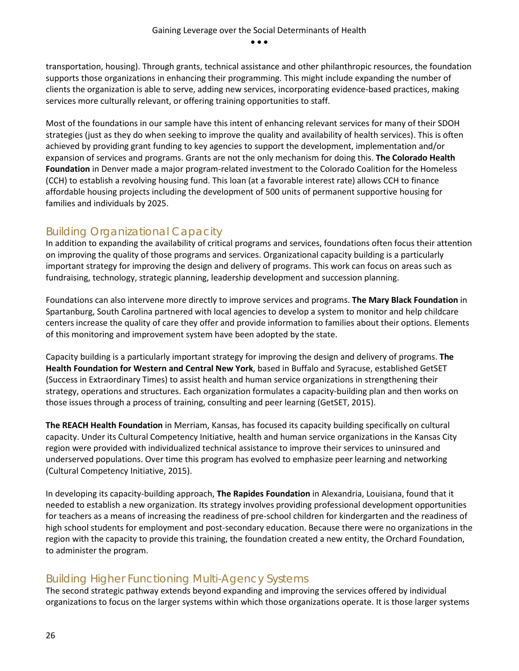transportation, housing). Through grants, technical assistance and other philanthropic resources, the foundation supports those organizations in enhancing their programming. This might include expanding the number of clients the organization is able to serve, adding new services, incorporating evidence-based practices, making services more culturally relevant, or offering training opportunities to staff.

Most of the foundations in our sample have this intent of enhancing relevant services for many of their SDOH strategies (just as they do when seeking to improve the quality and availability of health services). This is often achieved by providing grant funding to key agencies to support the development, implementation and/or expansion of services and programs. Grants are not the only mechanism for doing this. **The Colorado Health Foundation** in Denver made a major program-related investment to the Colorado Coalition for the Homeless (CCH) to establish a revolving housing fund. This loan (at a favorable interest rate) allows CCH to finance affordable housing projects including the development of 500 units of permanent supportive housing for families and individuals by 2025.

## <span id="page-26-0"></span>Building Organizational Capacity

In addition to expanding the availability of critical programs and services, foundations often focus their attention on improving the quality of those programs and services. Organizational capacity building is a particularly important strategy for improving the design and delivery of programs. This work can focus on areas such as fundraising, technology, strategic planning, leadership development and succession planning.

Foundations can also intervene more directly to improve services and programs. **The Mary Black Foundation** in Spartanburg, South Carolina partnered with local agencies to develop a system to monitor and help childcare centers increase the quality of care they offer and provide information to families about their options. Elements of this monitoring and improvement system have been adopted by the state.

Capacity building is a particularly important strategy for improving the design and delivery of programs. **The Health Foundation for Western and Central New York**, based in Buffalo and Syracuse, established GetSET (Success in Extraordinary Times) to assist health and human service organizations in strengthening their strategy, operations and structures. Each organization formulates a capacity-building plan and then works on those issues through a process of training, consulting and peer learning (GetSET, 2015).

**The REACH Health Foundation** in Merriam, Kansas, has focused its capacity building specifically on cultural capacity. Under its Cultural Competency Initiative, health and human service organizations in the Kansas City region were provided with individualized technical assistance to improve their services to uninsured and underserved populations. Over time this program has evolved to emphasize peer learning and networking (Cultural Competency Initiative, 2015).

In developing its capacity-building approach, **The Rapides Foundation** in Alexandria, Louisiana, found that it needed to establish a new organization. Its strategy involves providing professional development opportunities for teachers as a means of increasing the readiness of pre-school children for kindergarten and the readiness of high school students for employment and post-secondary education. Because there were no organizations in the region with the capacity to provide this training, the foundation created a new entity, the Orchard Foundation, to administer the program.

### <span id="page-26-1"></span>Building Higher Functioning Multi-Agency Systems

The second strategic pathway extends beyond expanding and improving the services offered by individual organizations to focus on the larger systems within which those organizations operate. It is those larger systems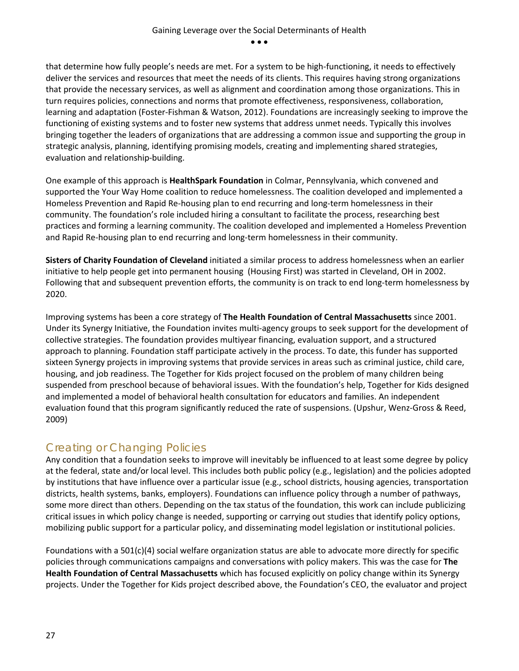that determine how fully people's needs are met. For a system to be high-functioning, it needs to effectively deliver the services and resources that meet the needs of its clients. This requires having strong organizations that provide the necessary services, as well as alignment and coordination among those organizations. This in turn requires policies, connections and norms that promote effectiveness, responsiveness, collaboration, learning and adaptation (Foster-Fishman & Watson, 2012). Foundations are increasingly seeking to improve the functioning of existing systems and to foster new systems that address unmet needs. Typically this involves bringing together the leaders of organizations that are addressing a common issue and supporting the group in strategic analysis, planning, identifying promising models, creating and implementing shared strategies, evaluation and relationship-building.

One example of this approach is **HealthSpark Foundation** in Colmar, Pennsylvania, which convened and supported the Your Way Home coalition to reduce homelessness. The coalition developed and implemented a Homeless Prevention and Rapid Re-housing plan to end recurring and long-term homelessness in their community. The foundation's role included hiring a consultant to facilitate the process, researching best practices and forming a learning community. The coalition developed and implemented a Homeless Prevention and Rapid Re-housing plan to end recurring and long-term homelessness in their community.

**Sisters of Charity Foundation of Cleveland** initiated a similar process to address homelessness when an earlier initiative to help people get into permanent housing (Housing First) was started in Cleveland, OH in 2002. Following that and subsequent prevention efforts, the community is on track to end long-term homelessness by 2020.

Improving systems has been a core strategy of **The Health Foundation of Central Massachusetts** since 2001. Under its Synergy Initiative, the Foundation invites multi-agency groups to seek support for the development of collective strategies. The foundation provides multiyear financing, evaluation support, and a structured approach to planning. Foundation staff participate actively in the process. To date, this funder has supported sixteen Synergy projects in improving systems that provide services in areas such as criminal justice, child care, housing, and job readiness. The Together for Kids project focused on the problem of many children being suspended from preschool because of behavioral issues. With the foundation's help, Together for Kids designed and implemented a model of behavioral health consultation for educators and families. An independent evaluation found that this program significantly reduced the rate of suspensions. (Upshur, Wenz-Gross & Reed, 2009)

#### <span id="page-27-0"></span>Creating or Changing Policies

Any condition that a foundation seeks to improve will inevitably be influenced to at least some degree by policy at the federal, state and/or local level. This includes both public policy (e.g., legislation) and the policies adopted by institutions that have influence over a particular issue (e.g., school districts, housing agencies, transportation districts, health systems, banks, employers). Foundations can influence policy through a number of pathways, some more direct than others. Depending on the tax status of the foundation, this work can include publicizing critical issues in which policy change is needed, supporting or carrying out studies that identify policy options, mobilizing public support for a particular policy, and disseminating model legislation or institutional policies.

Foundations with a 501(c)(4) social welfare organization status are able to advocate more directly for specific policies through communications campaigns and conversations with policy makers. This was the case for **The Health Foundation of Central Massachusetts** which has focused explicitly on policy change within its Synergy projects. Under the Together for Kids project described above, the Foundation's CEO, the evaluator and project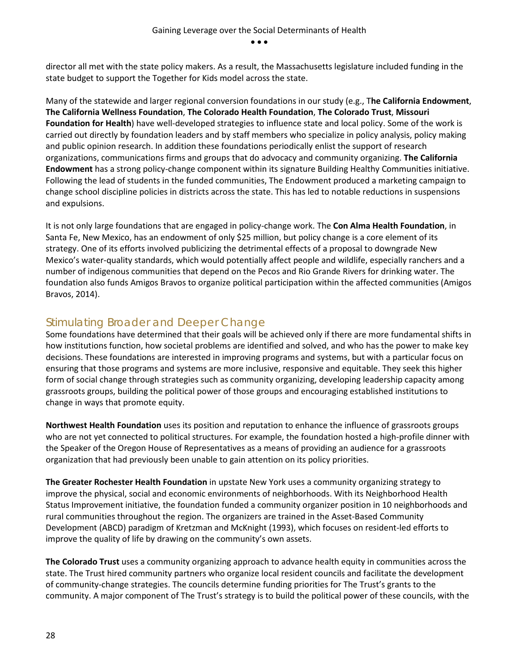director all met with the state policy makers. As a result, the Massachusetts legislature included funding in the state budget to support the Together for Kids model across the state.

Many of the statewide and larger regional conversion foundations in our study (e.g., T**he California Endowment**, **The California Wellness Foundation**, **The Colorado Health Foundation**, **The Colorado Trust**, **Missouri Foundation for Health**) have well-developed strategies to influence state and local policy. Some of the work is carried out directly by foundation leaders and by staff members who specialize in policy analysis, policy making and public opinion research. In addition these foundations periodically enlist the support of research organizations, communications firms and groups that do advocacy and community organizing. **The California Endowment** has a strong policy-change component within its signature Building Healthy Communities initiative. Following the lead of students in the funded communities, The Endowment produced a marketing campaign to change school discipline policies in districts across the state. This has led to notable reductions in suspensions and expulsions.

It is not only large foundations that are engaged in policy-change work. The **Con Alma Health Foundation**, in Santa Fe, New Mexico, has an endowment of only \$25 million, but policy change is a core element of its strategy. One of its efforts involved publicizing the detrimental effects of a proposal to downgrade New Mexico's water-quality standards, which would potentially affect people and wildlife, especially ranchers and a number of indigenous communities that depend on the Pecos and Rio Grande Rivers for drinking water. The foundation also funds Amigos Bravos to organize political participation within the affected communities (Amigos Bravos, 2014).

#### <span id="page-28-0"></span>Stimulating Broader and Deeper Change

Some foundations have determined that their goals will be achieved only if there are more fundamental shifts in how institutions function, how societal problems are identified and solved, and who has the power to make key decisions. These foundations are interested in improving programs and systems, but with a particular focus on ensuring that those programs and systems are more inclusive, responsive and equitable. They seek this higher form of social change through strategies such as community organizing, developing leadership capacity among grassroots groups, building the political power of those groups and encouraging established institutions to change in ways that promote equity.

**Northwest Health Foundation** uses its position and reputation to enhance the influence of grassroots groups who are not yet connected to political structures. For example, the foundation hosted a high-profile dinner with the Speaker of the Oregon House of Representatives as a means of providing an audience for a grassroots organization that had previously been unable to gain attention on its policy priorities.

**The Greater Rochester Health Foundation** in upstate New York uses a community organizing strategy to improve the physical, social and economic environments of neighborhoods. With its Neighborhood Health Status Improvement initiative, the foundation funded a community organizer position in 10 neighborhoods and rural communities throughout the region. The organizers are trained in the Asset-Based Community Development (ABCD) paradigm of Kretzman and McKnight (1993), which focuses on resident-led efforts to improve the quality of life by drawing on the community's own assets.

**The Colorado Trust** uses a community organizing approach to advance health equity in communities across the state. The Trust hired community partners who organize local resident councils and facilitate the development of community-change strategies. The councils determine funding priorities for The Trust's grants to the community. A major component of The Trust's strategy is to build the political power of these councils, with the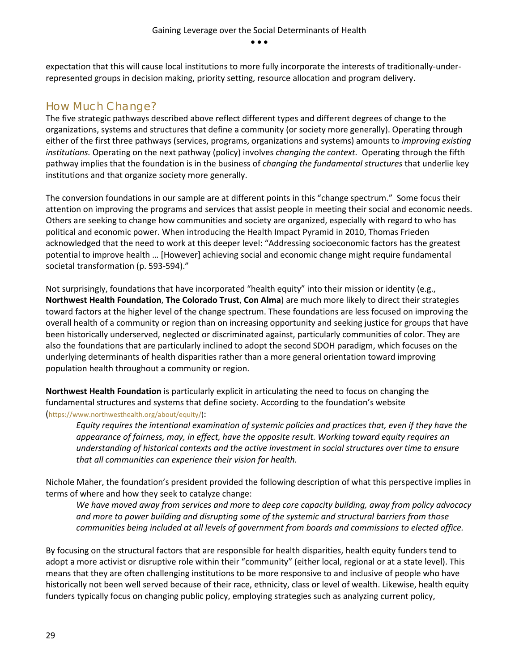expectation that this will cause local institutions to more fully incorporate the interests of traditionally-underrepresented groups in decision making, priority setting, resource allocation and program delivery.

## <span id="page-29-0"></span>How Much Change?

The five strategic pathways described above reflect different types and different degrees of change to the organizations, systems and structures that define a community (or society more generally). Operating through either of the first three pathways (services, programs, organizations and systems) amounts to *improving existing institutions.* Operating on the next pathway (policy) involves *changing the context.* Operating through the fifth pathway implies that the foundation is in the business of *changing the fundamental structures* that underlie key institutions and that organize society more generally.

The conversion foundations in our sample are at different points in this "change spectrum." Some focus their attention on improving the programs and services that assist people in meeting their social and economic needs. Others are seeking to change how communities and society are organized, especially with regard to who has political and economic power. When introducing the Health Impact Pyramid in 2010, Thomas Frieden acknowledged that the need to work at this deeper level: "Addressing socioeconomic factors has the greatest potential to improve health … [However] achieving social and economic change might require fundamental societal transformation (p. 593-594)."

Not surprisingly, foundations that have incorporated "health equity" into their mission or identity (e.g., **Northwest Health Foundation**, **The Colorado Trust**, **Con Alma**) are much more likely to direct their strategies toward factors at the higher level of the change spectrum. These foundations are less focused on improving the overall health of a community or region than on increasing opportunity and seeking justice for groups that have been historically underserved, neglected or discriminated against, particularly communities of color. They are also the foundations that are particularly inclined to adopt the second SDOH paradigm, which focuses on the underlying determinants of health disparities rather than a more general orientation toward improving population health throughout a community or region.

**Northwest Health Foundation** is particularly explicit in articulating the need to focus on changing the fundamental structures and systems that define society. According to the foundation's website [\(https://www.northwesthealth.org/about/equity/\)](https://www.northwesthealth.org/about/equity/):

*Equity requires the intentional examination of systemic policies and practices that, even if they have the appearance of fairness, may, in effect, have the opposite result. Working toward equity requires an understanding of historical contexts and the active investment in social structures over time to ensure that all communities can experience their vision for health.*

Nichole Maher, the foundation's president provided the following description of what this perspective implies in terms of where and how they seek to catalyze change:

*We have moved away from services and more to deep core capacity building, away from policy advocacy and more to power building and disrupting some of the systemic and structural barriers from those communities being included at all levels of government from boards and commissions to elected office.* 

By focusing on the structural factors that are responsible for health disparities, health equity funders tend to adopt a more activist or disruptive role within their "community" (either local, regional or at a state level). This means that they are often challenging institutions to be more responsive to and inclusive of people who have historically not been well served because of their race, ethnicity, class or level of wealth. Likewise, health equity funders typically focus on changing public policy, employing strategies such as analyzing current policy,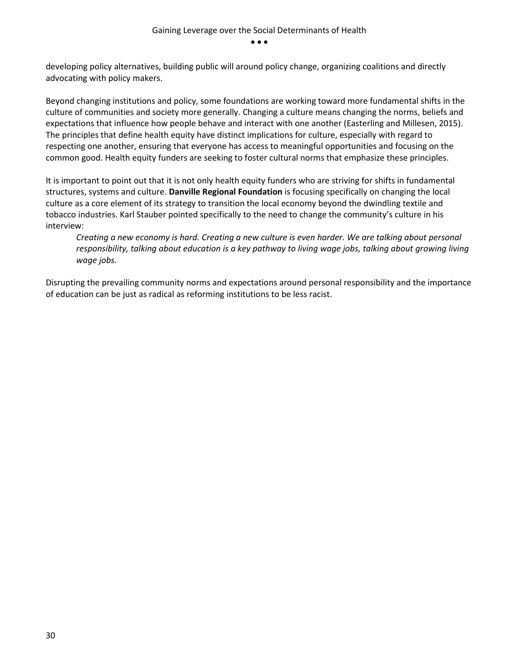developing policy alternatives, building public will around policy change, organizing coalitions and directly advocating with policy makers.

Beyond changing institutions and policy, some foundations are working toward more fundamental shifts in the culture of communities and society more generally. Changing a culture means changing the norms, beliefs and expectations that influence how people behave and interact with one another (Easterling and Millesen, 2015). The principles that define health equity have distinct implications for culture, especially with regard to respecting one another, ensuring that everyone has access to meaningful opportunities and focusing on the common good. Health equity funders are seeking to foster cultural norms that emphasize these principles.

It is important to point out that it is not only health equity funders who are striving for shifts in fundamental structures, systems and culture. **Danville Regional Foundation** is focusing specifically on changing the local culture as a core element of its strategy to transition the local economy beyond the dwindling textile and tobacco industries. Karl Stauber pointed specifically to the need to change the community's culture in his interview:

*Creating a new economy is hard. Creating a new culture is even harder. We are talking about personal*  responsibility, talking about education is a key pathway to living wage jobs, talking about growing living *wage jobs.* 

Disrupting the prevailing community norms and expectations around personal responsibility and the importance of education can be just as radical as reforming institutions to be less racist.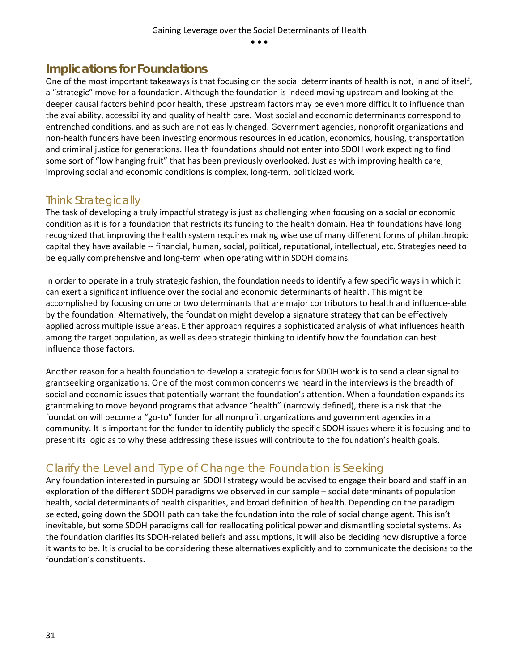## <span id="page-31-0"></span>**Implications for Foundations**

One of the most important takeaways is that focusing on the social determinants of health is not, in and of itself, a "strategic" move for a foundation. Although the foundation is indeed moving upstream and looking at the deeper causal factors behind poor health, these upstream factors may be even more difficult to influence than the availability, accessibility and quality of health care. Most social and economic determinants correspond to entrenched conditions, and as such are not easily changed. Government agencies, nonprofit organizations and non-health funders have been investing enormous resources in education, economics, housing, transportation and criminal justice for generations. Health foundations should not enter into SDOH work expecting to find some sort of "low hanging fruit" that has been previously overlooked. Just as with improving health care, improving social and economic conditions is complex, long-term, politicized work.

### <span id="page-31-1"></span>Think Strategically

The task of developing a truly impactful strategy is just as challenging when focusing on a social or economic condition as it is for a foundation that restricts its funding to the health domain. Health foundations have long recognized that improving the health system requires making wise use of many different forms of philanthropic capital they have available -- financial, human, social, political, reputational, intellectual, etc. Strategies need to be equally comprehensive and long-term when operating within SDOH domains.

In order to operate in a truly strategic fashion, the foundation needs to identify a few specific ways in which it can exert a significant influence over the social and economic determinants of health. This might be accomplished by focusing on one or two determinants that are major contributors to health and influence-able by the foundation. Alternatively, the foundation might develop a signature strategy that can be effectively applied across multiple issue areas. Either approach requires a sophisticated analysis of what influences health among the target population, as well as deep strategic thinking to identify how the foundation can best influence those factors.

Another reason for a health foundation to develop a strategic focus for SDOH work is to send a clear signal to grantseeking organizations. One of the most common concerns we heard in the interviews is the breadth of social and economic issues that potentially warrant the foundation's attention. When a foundation expands its grantmaking to move beyond programs that advance "health" (narrowly defined), there is a risk that the foundation will become a "go-to" funder for all nonprofit organizations and government agencies in a community. It is important for the funder to identify publicly the specific SDOH issues where it is focusing and to present its logic as to why these addressing these issues will contribute to the foundation's health goals.

## <span id="page-31-2"></span>Clarify the Level and Type of Change the Foundation is Seeking

Any foundation interested in pursuing an SDOH strategy would be advised to engage their board and staff in an exploration of the different SDOH paradigms we observed in our sample – social determinants of population health, social determinants of health disparities, and broad definition of health. Depending on the paradigm selected, going down the SDOH path can take the foundation into the role of social change agent. This isn't inevitable, but some SDOH paradigms call for reallocating political power and dismantling societal systems. As the foundation clarifies its SDOH-related beliefs and assumptions, it will also be deciding how disruptive a force it wants to be. It is crucial to be considering these alternatives explicitly and to communicate the decisions to the foundation's constituents.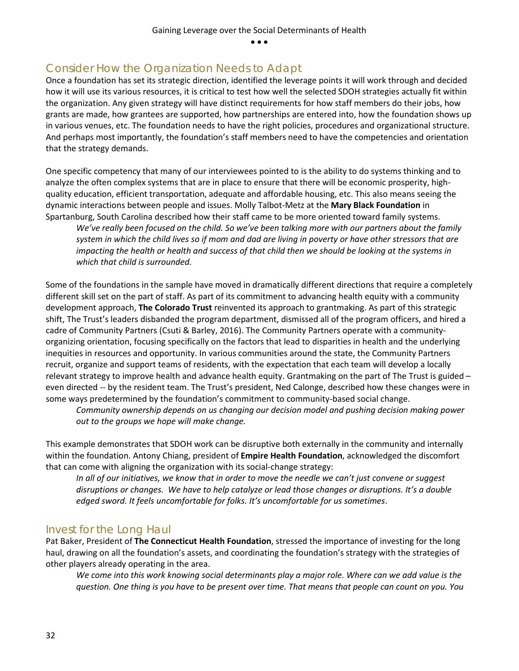### <span id="page-32-0"></span>Consider How the Organization Needs to Adapt

Once a foundation has set its strategic direction, identified the leverage points it will work through and decided how it will use its various resources, it is critical to test how well the selected SDOH strategies actually fit within the organization. Any given strategy will have distinct requirements for how staff members do their jobs, how grants are made, how grantees are supported, how partnerships are entered into, how the foundation shows up in various venues, etc. The foundation needs to have the right policies, procedures and organizational structure. And perhaps most importantly, the foundation's staff members need to have the competencies and orientation that the strategy demands.

One specific competency that many of our interviewees pointed to is the ability to do systems thinking and to analyze the often complex systems that are in place to ensure that there will be economic prosperity, highquality education, efficient transportation, adequate and affordable housing, etc. This also means seeing the dynamic interactions between people and issues. Molly Talbot-Metz at the **Mary Black Foundation** in Spartanburg, South Carolina described how their staff came to be more oriented toward family systems.

*We've really been focused on the child. So we've been talking more with our partners about the family system in which the child lives so if mom and dad are living in poverty or have other stressors that are impacting the health or health and success of that child then we should be looking at the systems in which that child is surrounded.* 

Some of the foundations in the sample have moved in dramatically different directions that require a completely different skill set on the part of staff. As part of its commitment to advancing health equity with a community development approach, **The Colorado Trust** reinvented its approach to grantmaking. As part of this strategic shift, The Trust's leaders disbanded the program department, dismissed all of the program officers, and hired a cadre of Community Partners (Csuti & Barley, 2016). The Community Partners operate with a communityorganizing orientation, focusing specifically on the factors that lead to disparities in health and the underlying inequities in resources and opportunity. In various communities around the state, the Community Partners recruit, organize and support teams of residents, with the expectation that each team will develop a locally relevant strategy to improve health and advance health equity. Grantmaking on the part of The Trust is guided – even directed -- by the resident team. The Trust's president, Ned Calonge, described how these changes were in some ways predetermined by the foundation's commitment to community-based social change.

*Community ownership depends on us changing our decision model and pushing decision making power out to the groups we hope will make change.*

This example demonstrates that SDOH work can be disruptive both externally in the community and internally within the foundation. Antony Chiang, president of **Empire Health Foundation**, acknowledged the discomfort that can come with aligning the organization with its social-change strategy:

*In all of our initiatives, we know that in order to move the needle we can't just convene or suggest disruptions or changes. We have to help catalyze or lead those changes or disruptions. It's a double edged sword. It feels uncomfortable for folks. It's uncomfortable for us sometimes*.

#### <span id="page-32-1"></span>Invest for the Long Haul

Pat Baker, President of **The Connecticut Health Foundation**, stressed the importance of investing for the long haul, drawing on all the foundation's assets, and coordinating the foundation's strategy with the strategies of other players already operating in the area.

*We come into this work knowing social determinants play a major role. Where can we add value is the question. One thing is you have to be present over time. That means that people can count on you. You*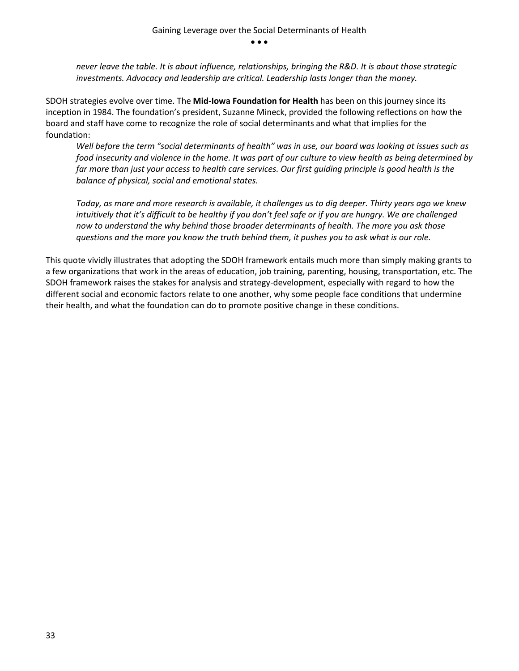*never leave the table. It is about influence, relationships, bringing the R&D. It is about those strategic investments. Advocacy and leadership are critical. Leadership lasts longer than the money.* 

SDOH strategies evolve over time. The **Mid-Iowa Foundation for Health** has been on this journey since its inception in 1984. The foundation's president, Suzanne Mineck, provided the following reflections on how the board and staff have come to recognize the role of social determinants and what that implies for the foundation:

*Well before the term "social determinants of health" was in use, our board was looking at issues such as food insecurity and violence in the home. It was part of our culture to view health as being determined by far more than just your access to health care services. Our first guiding principle is good health is the balance of physical, social and emotional states.* 

*Today, as more and more research is available, it challenges us to dig deeper. Thirty years ago we knew intuitively that it's difficult to be healthy if you don't feel safe or if you are hungry. We are challenged now to understand the why behind those broader determinants of health. The more you ask those questions and the more you know the truth behind them, it pushes you to ask what is our role.* 

This quote vividly illustrates that adopting the SDOH framework entails much more than simply making grants to a few organizations that work in the areas of education, job training, parenting, housing, transportation, etc. The SDOH framework raises the stakes for analysis and strategy-development, especially with regard to how the different social and economic factors relate to one another, why some people face conditions that undermine their health, and what the foundation can do to promote positive change in these conditions.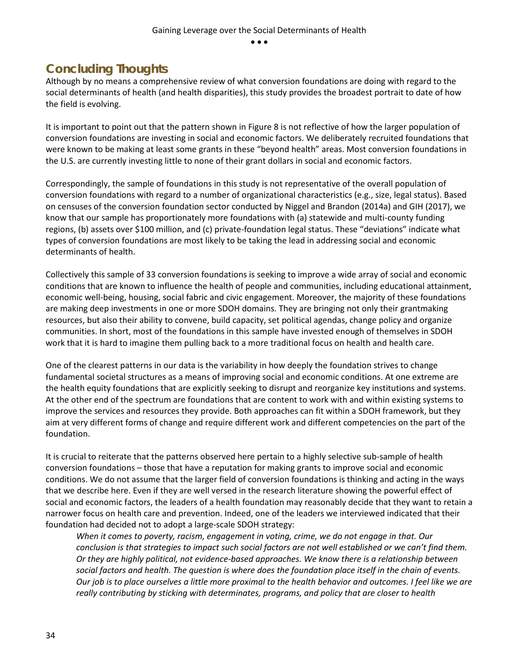## <span id="page-34-0"></span>**Concluding Thoughts**

Although by no means a comprehensive review of what conversion foundations are doing with regard to the social determinants of health (and health disparities), this study provides the broadest portrait to date of how the field is evolving.

It is important to point out that the pattern shown in Figure 8 is not reflective of how the larger population of conversion foundations are investing in social and economic factors. We deliberately recruited foundations that were known to be making at least some grants in these "beyond health" areas. Most conversion foundations in the U.S. are currently investing little to none of their grant dollars in social and economic factors.

Correspondingly, the sample of foundations in this study is not representative of the overall population of conversion foundations with regard to a number of organizational characteristics (e.g., size, legal status). Based on censuses of the conversion foundation sector conducted by Niggel and Brandon (2014a) and GIH (2017), we know that our sample has proportionately more foundations with (a) statewide and multi-county funding regions, (b) assets over \$100 million, and (c) private-foundation legal status. These "deviations" indicate what types of conversion foundations are most likely to be taking the lead in addressing social and economic determinants of health.

Collectively this sample of 33 conversion foundations is seeking to improve a wide array of social and economic conditions that are known to influence the health of people and communities, including educational attainment, economic well-being, housing, social fabric and civic engagement. Moreover, the majority of these foundations are making deep investments in one or more SDOH domains. They are bringing not only their grantmaking resources, but also their ability to convene, build capacity, set political agendas, change policy and organize communities. In short, most of the foundations in this sample have invested enough of themselves in SDOH work that it is hard to imagine them pulling back to a more traditional focus on health and health care.

One of the clearest patterns in our data is the variability in how deeply the foundation strives to change fundamental societal structures as a means of improving social and economic conditions. At one extreme are the health equity foundations that are explicitly seeking to disrupt and reorganize key institutions and systems. At the other end of the spectrum are foundations that are content to work with and within existing systems to improve the services and resources they provide. Both approaches can fit within a SDOH framework, but they aim at very different forms of change and require different work and different competencies on the part of the foundation.

It is crucial to reiterate that the patterns observed here pertain to a highly selective sub-sample of health conversion foundations – those that have a reputation for making grants to improve social and economic conditions. We do not assume that the larger field of conversion foundations is thinking and acting in the ways that we describe here. Even if they are well versed in the research literature showing the powerful effect of social and economic factors, the leaders of a health foundation may reasonably decide that they want to retain a narrower focus on health care and prevention. Indeed, one of the leaders we interviewed indicated that their foundation had decided not to adopt a large-scale SDOH strategy:

*When it comes to poverty, racism, engagement in voting, crime, we do not engage in that. Our conclusion is that strategies to impact such social factors are not well established or we can't find them. Or they are highly political, not evidence-based approaches. We know there is a relationship between social factors and health. The question is where does the foundation place itself in the chain of events. Our job is to place ourselves a little more proximal to the health behavior and outcomes. I feel like we are really contributing by sticking with determinates, programs, and policy that are closer to health*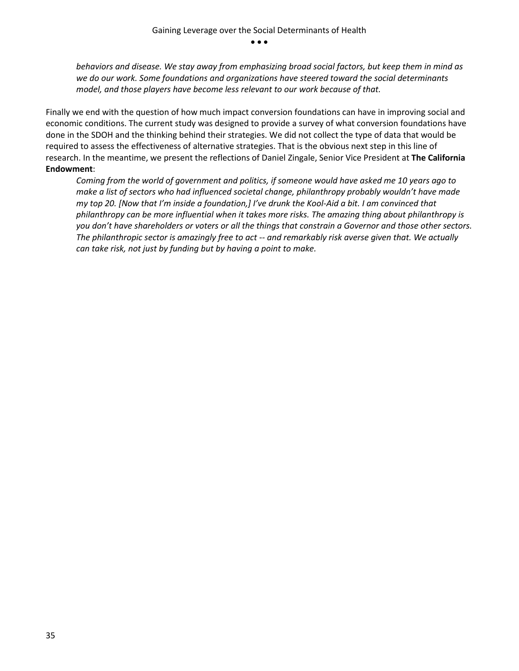*behaviors and disease. We stay away from emphasizing broad social factors, but keep them in mind as we do our work. Some foundations and organizations have steered toward the social determinants model, and those players have become less relevant to our work because of that.* 

Finally we end with the question of how much impact conversion foundations can have in improving social and economic conditions. The current study was designed to provide a survey of what conversion foundations have done in the SDOH and the thinking behind their strategies. We did not collect the type of data that would be required to assess the effectiveness of alternative strategies. That is the obvious next step in this line of research. In the meantime, we present the reflections of Daniel Zingale, Senior Vice President at **The California Endowment**:

*Coming from the world of government and politics, if someone would have asked me 10 years ago to make a list of sectors who had influenced societal change, philanthropy probably wouldn't have made my top 20. [Now that I'm inside a foundation,] I've drunk the Kool-Aid a bit. I am convinced that philanthropy can be more influential when it takes more risks. The amazing thing about philanthropy is you don't have shareholders or voters or all the things that constrain a Governor and those other sectors. The philanthropic sector is amazingly free to act -- and remarkably risk averse given that. We actually can take risk, not just by funding but by having a point to make.*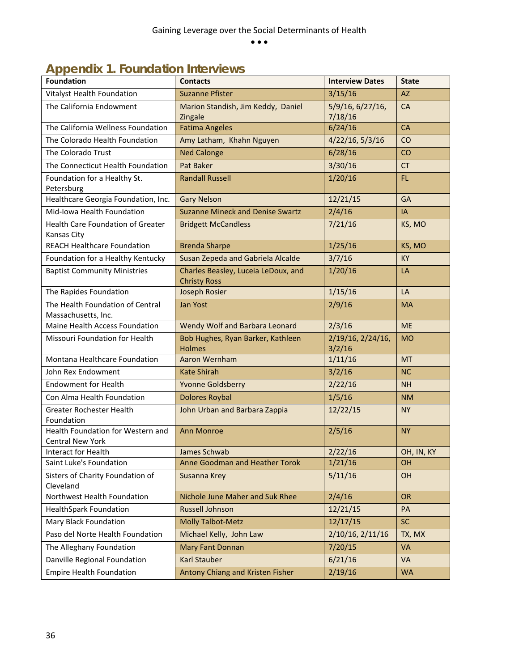<span id="page-36-0"></span>

| <b>Appendix 1. Foundation Interviews</b> |  |
|------------------------------------------|--|
|                                          |  |

| <b>Foundation</b>                                            | <b>Contacts</b>                                            | <b>Interview Dates</b>      | <b>State</b> |
|--------------------------------------------------------------|------------------------------------------------------------|-----------------------------|--------------|
| Vitalyst Health Foundation                                   | <b>Suzanne Pfister</b>                                     | 3/15/16                     | <b>AZ</b>    |
| The California Endowment                                     | Marion Standish, Jim Keddy, Daniel<br>Zingale              | 5/9/16, 6/27/16,<br>7/18/16 | CA           |
| The California Wellness Foundation                           | <b>Fatima Angeles</b>                                      | 6/24/16                     | <b>CA</b>    |
| The Colorado Health Foundation                               | Amy Latham, Khahn Nguyen                                   | 4/22/16, 5/3/16             | CO           |
| The Colorado Trust                                           | <b>Ned Calonge</b>                                         | 6/28/16                     | CO           |
| The Connecticut Health Foundation                            | Pat Baker                                                  | 3/30/16                     | <b>CT</b>    |
| Foundation for a Healthy St.<br>Petersburg                   | <b>Randall Russell</b>                                     | 1/20/16                     | FL.          |
| Healthcare Georgia Foundation, Inc.                          | <b>Gary Nelson</b>                                         | 12/21/15                    | <b>GA</b>    |
| Mid-Iowa Health Foundation                                   | <b>Suzanne Mineck and Denise Swartz</b>                    | 2/4/16                      | IA           |
| Health Care Foundation of Greater<br>Kansas City             | <b>Bridgett McCandless</b>                                 | 7/21/16                     | KS, MO       |
| <b>REACH Healthcare Foundation</b>                           | <b>Brenda Sharpe</b>                                       | 1/25/16                     | KS, MO       |
| Foundation for a Healthy Kentucky                            | Susan Zepeda and Gabriela Alcalde                          | 3/7/16                      | <b>KY</b>    |
| <b>Baptist Community Ministries</b>                          | Charles Beasley, Luceia LeDoux, and<br><b>Christy Ross</b> | 1/20/16                     | LA           |
| The Rapides Foundation                                       | <b>Joseph Rosier</b>                                       | 1/15/16                     | LA           |
| The Health Foundation of Central<br>Massachusetts, Inc.      | Jan Yost                                                   | 2/9/16                      | <b>MA</b>    |
| Maine Health Access Foundation                               | Wendy Wolf and Barbara Leonard                             | 2/3/16                      | <b>ME</b>    |
| Missouri Foundation for Health                               | Bob Hughes, Ryan Barker, Kathleen<br><b>Holmes</b>         | 2/19/16, 2/24/16,<br>3/2/16 | <b>MO</b>    |
| Montana Healthcare Foundation                                | Aaron Wernham                                              | 1/11/16                     | <b>MT</b>    |
| John Rex Endowment                                           | <b>Kate Shirah</b>                                         | 3/2/16                      | <b>NC</b>    |
| <b>Endowment for Health</b>                                  | <b>Yvonne Goldsberry</b>                                   | 2/22/16                     | <b>NH</b>    |
| Con Alma Health Foundation                                   | <b>Dolores Roybal</b>                                      | 1/5/16                      | <b>NM</b>    |
| Greater Rochester Health<br>Foundation                       | John Urban and Barbara Zappia                              | 12/22/15                    | <b>NY</b>    |
| Health Foundation for Western and<br><b>Central New York</b> | <b>Ann Monroe</b>                                          | 2/5/16                      | <b>NY</b>    |
| Interact for Health                                          | James Schwab                                               | 2/22/16                     | OH, IN, KY   |
| Saint Luke's Foundation                                      | Anne Goodman and Heather Torok                             | 1/21/16                     | <b>OH</b>    |
| Sisters of Charity Foundation of<br>Cleveland                | Susanna Krey                                               | 5/11/16                     | <b>OH</b>    |
| Northwest Health Foundation                                  | Nichole June Maher and Suk Rhee                            | 2/4/16                      | OR           |
| <b>HealthSpark Foundation</b>                                | <b>Russell Johnson</b>                                     | 12/21/15                    | PA           |
| Mary Black Foundation                                        | <b>Molly Talbot-Metz</b>                                   | 12/17/15                    | <b>SC</b>    |
| Paso del Norte Health Foundation                             | Michael Kelly, John Law                                    | 2/10/16, 2/11/16            | TX, MX       |
| The Alleghany Foundation                                     | <b>Mary Fant Donnan</b>                                    | 7/20/15                     | <b>VA</b>    |
| Danville Regional Foundation                                 | <b>Karl Stauber</b>                                        | 6/21/16                     | <b>VA</b>    |
| <b>Empire Health Foundation</b>                              | Antony Chiang and Kristen Fisher                           | 2/19/16                     | <b>WA</b>    |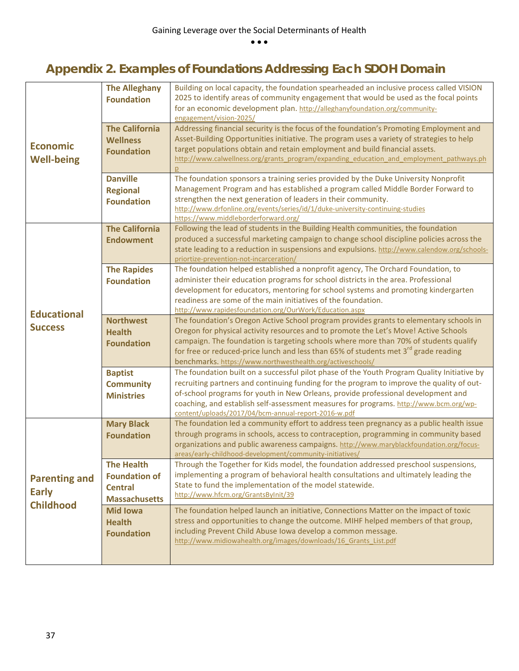## <span id="page-37-0"></span>**Appendix 2. Examples of Foundations Addressing Each SDOH Domain**

|                                                          | <b>The Alleghany</b><br><b>Foundation</b>                                           | Building on local capacity, the foundation spearheaded an inclusive process called VISION<br>2025 to identify areas of community engagement that would be used as the focal points<br>for an economic development plan. http://alleghanyfoundation.org/community-<br>engagement/vision-2025/                                                                                                                                             |
|----------------------------------------------------------|-------------------------------------------------------------------------------------|------------------------------------------------------------------------------------------------------------------------------------------------------------------------------------------------------------------------------------------------------------------------------------------------------------------------------------------------------------------------------------------------------------------------------------------|
| <b>Economic</b><br><b>Well-being</b>                     | <b>The California</b><br><b>Wellness</b><br><b>Foundation</b>                       | Addressing financial security is the focus of the foundation's Promoting Employment and<br>Asset-Building Opportunities initiative. The program uses a variety of strategies to help<br>target populations obtain and retain employment and build financial assets.<br>http://www.calwellness.org/grants_program/expanding_education_and_employment_pathways.ph                                                                          |
|                                                          | <b>Danville</b><br><b>Regional</b><br><b>Foundation</b>                             | The foundation sponsors a training series provided by the Duke University Nonprofit<br>Management Program and has established a program called Middle Border Forward to<br>strengthen the next generation of leaders in their community.<br>http://www.drfonline.org/events/series/id/1/duke-university-continuing-studies<br>https://www.middleborderforward.org/                                                                       |
|                                                          | <b>The California</b><br><b>Endowment</b>                                           | Following the lead of students in the Building Health communities, the foundation<br>produced a successful marketing campaign to change school discipline policies across the<br>state leading to a reduction in suspensions and expulsions. http://www.calendow.org/schools-<br>priortize-prevention-not-incarceration/                                                                                                                 |
| <b>Educational</b><br><b>Success</b>                     | <b>The Rapides</b><br><b>Foundation</b>                                             | The foundation helped established a nonprofit agency, The Orchard Foundation, to<br>administer their education programs for school districts in the area. Professional<br>development for educators, mentoring for school systems and promoting kindergarten<br>readiness are some of the main initiatives of the foundation.<br>http://www.rapidesfoundation.org/OurWork/Education.aspx                                                 |
|                                                          | <b>Northwest</b><br><b>Health</b><br><b>Foundation</b>                              | The foundation's Oregon Active School program provides grants to elementary schools in<br>Oregon for physical activity resources and to promote the Let's Move! Active Schools<br>campaign. The foundation is targeting schools where more than 70% of students qualify<br>for free or reduced-price lunch and less than 65% of students met 3 <sup>rd</sup> grade reading<br>benchmarks. https://www.northwesthealth.org/activeschools/ |
|                                                          | <b>Baptist</b><br><b>Community</b><br><b>Ministries</b>                             | The foundation built on a successful pilot phase of the Youth Program Quality Initiative by<br>recruiting partners and continuing funding for the program to improve the quality of out-<br>of-school programs for youth in New Orleans, provide professional development and<br>coaching, and establish self-assessment measures for programs. http://www.bcm.org/wp-<br>content/uploads/2017/04/bcm-annual-report-2016-w.pdf           |
|                                                          | <b>Mary Black</b><br><b>Foundation</b>                                              | The foundation led a community effort to address teen pregnancy as a public health issue<br>through programs in schools, access to contraception, programming in community based<br>organizations and public awareness campaigns. http://www.maryblackfoundation.org/focus-<br>areas/early-childhood-development/community-initiatives/                                                                                                  |
| <b>Parenting and</b><br><b>Early</b><br><b>Childhood</b> | <b>The Health</b><br><b>Foundation of</b><br><b>Central</b><br><b>Massachusetts</b> | Through the Together for Kids model, the foundation addressed preschool suspensions,<br>implementing a program of behavioral health consultations and ultimately leading the<br>State to fund the implementation of the model statewide.<br>http://www.hfcm.org/GrantsByInit/39                                                                                                                                                          |
|                                                          | <b>Mid Iowa</b><br><b>Health</b><br><b>Foundation</b>                               | The foundation helped launch an initiative, Connections Matter on the impact of toxic<br>stress and opportunities to change the outcome. MIHF helped members of that group,<br>including Prevent Child Abuse Iowa develop a common message.<br>http://www.midiowahealth.org/images/downloads/16 Grants List.pdf                                                                                                                          |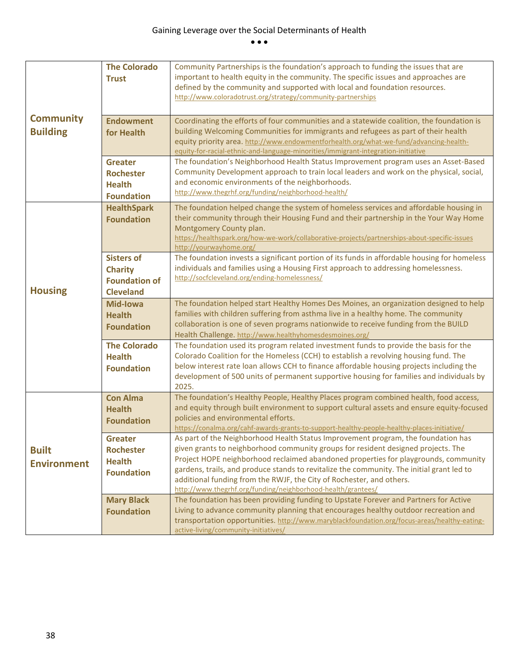|                                                                                                          | <b>The Colorado</b>  | Community Partnerships is the foundation's approach to funding the issues that are                                                                                                   |
|----------------------------------------------------------------------------------------------------------|----------------------|--------------------------------------------------------------------------------------------------------------------------------------------------------------------------------------|
|                                                                                                          | <b>Trust</b>         | important to health equity in the community. The specific issues and approaches are                                                                                                  |
|                                                                                                          |                      | defined by the community and supported with local and foundation resources.                                                                                                          |
|                                                                                                          |                      | http://www.coloradotrust.org/strategy/community-partnerships                                                                                                                         |
|                                                                                                          |                      |                                                                                                                                                                                      |
| <b>Community</b>                                                                                         | <b>Endowment</b>     | Coordinating the efforts of four communities and a statewide coalition, the foundation is                                                                                            |
| <b>Building</b>                                                                                          | for Health           | building Welcoming Communities for immigrants and refugees as part of their health                                                                                                   |
|                                                                                                          |                      | equity priority area. http://www.endowmentforhealth.org/what-we-fund/advancing-health-                                                                                               |
|                                                                                                          |                      | equity-for-racial-ethnic-and-language-minorities/immigrant-integration-initiative                                                                                                    |
|                                                                                                          | <b>Greater</b>       | The foundation's Neighborhood Health Status Improvement program uses an Asset-Based                                                                                                  |
|                                                                                                          | <b>Rochester</b>     | Community Development approach to train local leaders and work on the physical, social,                                                                                              |
|                                                                                                          | <b>Health</b>        | and economic environments of the neighborhoods.                                                                                                                                      |
|                                                                                                          | <b>Foundation</b>    | http://www.thegrhf.org/funding/neighborhood-health/                                                                                                                                  |
|                                                                                                          | <b>HealthSpark</b>   | The foundation helped change the system of homeless services and affordable housing in                                                                                               |
|                                                                                                          | <b>Foundation</b>    | their community through their Housing Fund and their partnership in the Your Way Home                                                                                                |
|                                                                                                          |                      | Montgomery County plan.                                                                                                                                                              |
|                                                                                                          |                      | https://healthspark.org/how-we-work/collaborative-projects/partnerships-about-specific-issues                                                                                        |
|                                                                                                          |                      | http://yourwayhome.org/                                                                                                                                                              |
|                                                                                                          | <b>Sisters of</b>    | The foundation invests a significant portion of its funds in affordable housing for homeless                                                                                         |
|                                                                                                          | <b>Charity</b>       | individuals and families using a Housing First approach to addressing homelessness.<br>http://socfcleveland.org/ending-homelessness/                                                 |
|                                                                                                          | <b>Foundation of</b> |                                                                                                                                                                                      |
| <b>Housing</b>                                                                                           | <b>Cleveland</b>     |                                                                                                                                                                                      |
|                                                                                                          | <b>Mid-Iowa</b>      | The foundation helped start Healthy Homes Des Moines, an organization designed to help                                                                                               |
|                                                                                                          | <b>Health</b>        | families with children suffering from asthma live in a healthy home. The community                                                                                                   |
| collaboration is one of seven programs nationwide to receive funding from the BUILD<br><b>Foundation</b> |                      |                                                                                                                                                                                      |
|                                                                                                          |                      | Health Challenge. http://www.healthyhomesdesmoines.org/                                                                                                                              |
|                                                                                                          | <b>The Colorado</b>  | The foundation used its program related investment funds to provide the basis for the                                                                                                |
|                                                                                                          | <b>Health</b>        | Colorado Coalition for the Homeless (CCH) to establish a revolving housing fund. The                                                                                                 |
|                                                                                                          | <b>Foundation</b>    | below interest rate loan allows CCH to finance affordable housing projects including the<br>development of 500 units of permanent supportive housing for families and individuals by |
|                                                                                                          |                      | 2025.                                                                                                                                                                                |
|                                                                                                          | <b>Con Alma</b>      | The foundation's Healthy People, Healthy Places program combined health, food access,                                                                                                |
|                                                                                                          | <b>Health</b>        | and equity through built environment to support cultural assets and ensure equity-focused                                                                                            |
|                                                                                                          | <b>Foundation</b>    | policies and environmental efforts.                                                                                                                                                  |
|                                                                                                          |                      | https://conalma.org/cahf-awards-grants-to-support-healthy-people-healthy-places-initiative/                                                                                          |
|                                                                                                          | <b>Greater</b>       | As part of the Neighborhood Health Status Improvement program, the foundation has                                                                                                    |
| <b>Built</b>                                                                                             | <b>Rochester</b>     | given grants to neighborhood community groups for resident designed projects. The                                                                                                    |
| <b>Environment</b>                                                                                       | <b>Health</b>        | Project HOPE neighborhood reclaimed abandoned properties for playgrounds, community                                                                                                  |
|                                                                                                          | <b>Foundation</b>    | gardens, trails, and produce stands to revitalize the community. The initial grant led to                                                                                            |
|                                                                                                          |                      | additional funding from the RWJF, the City of Rochester, and others.                                                                                                                 |
|                                                                                                          |                      | http://www.thegrhf.org/funding/neighborhood-health/grantees/                                                                                                                         |
|                                                                                                          | <b>Mary Black</b>    | The foundation has been providing funding to Upstate Forever and Partners for Active                                                                                                 |
|                                                                                                          | <b>Foundation</b>    | Living to advance community planning that encourages healthy outdoor recreation and                                                                                                  |
|                                                                                                          |                      | transportation opportunities. http://www.maryblackfoundation.org/focus-areas/healthy-eating-<br>active-living/community-initiatives/                                                 |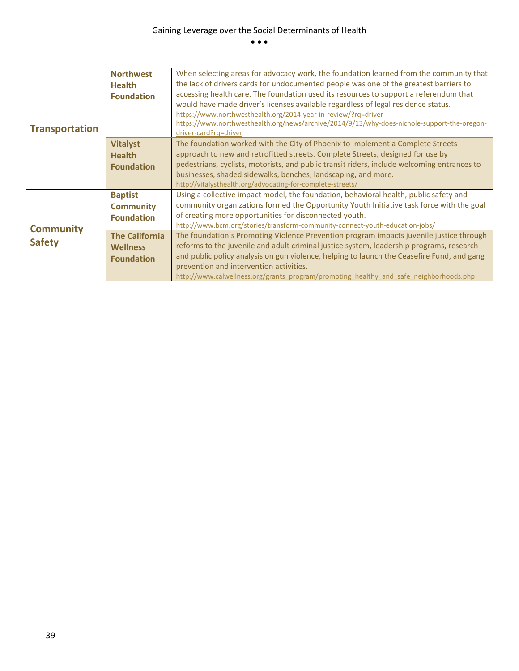| <b>Transportation</b> | <b>Northwest</b><br><b>Health</b><br><b>Foundation</b> | When selecting areas for advocacy work, the foundation learned from the community that<br>the lack of drivers cards for undocumented people was one of the greatest barriers to<br>accessing health care. The foundation used its resources to support a referendum that<br>would have made driver's licenses available regardless of legal residence status.<br>https://www.northwesthealth.org/2014-year-in-review/?rq=driver<br>https://www.northwesthealth.org/news/archive/2014/9/13/why-does-nichole-support-the-oregon-<br>driver-card?rq=driver |
|-----------------------|--------------------------------------------------------|---------------------------------------------------------------------------------------------------------------------------------------------------------------------------------------------------------------------------------------------------------------------------------------------------------------------------------------------------------------------------------------------------------------------------------------------------------------------------------------------------------------------------------------------------------|
|                       | <b>Vitalyst</b>                                        | The foundation worked with the City of Phoenix to implement a Complete Streets                                                                                                                                                                                                                                                                                                                                                                                                                                                                          |
|                       | <b>Health</b>                                          | approach to new and retrofitted streets. Complete Streets, designed for use by                                                                                                                                                                                                                                                                                                                                                                                                                                                                          |
|                       | <b>Foundation</b>                                      | pedestrians, cyclists, motorists, and public transit riders, include welcoming entrances to                                                                                                                                                                                                                                                                                                                                                                                                                                                             |
|                       |                                                        | businesses, shaded sidewalks, benches, landscaping, and more.                                                                                                                                                                                                                                                                                                                                                                                                                                                                                           |
|                       |                                                        | http://vitalysthealth.org/advocating-for-complete-streets/                                                                                                                                                                                                                                                                                                                                                                                                                                                                                              |
|                       | <b>Baptist</b>                                         | Using a collective impact model, the foundation, behavioral health, public safety and                                                                                                                                                                                                                                                                                                                                                                                                                                                                   |
|                       | <b>Community</b>                                       | community organizations formed the Opportunity Youth Initiative task force with the goal                                                                                                                                                                                                                                                                                                                                                                                                                                                                |
|                       | <b>Foundation</b>                                      | of creating more opportunities for disconnected youth.                                                                                                                                                                                                                                                                                                                                                                                                                                                                                                  |
| <b>Community</b>      |                                                        | http://www.bcm.org/stories/transform-community-connect-youth-education-jobs/                                                                                                                                                                                                                                                                                                                                                                                                                                                                            |
|                       | <b>The California</b>                                  | The foundation's Promoting Violence Prevention program impacts juvenile justice through                                                                                                                                                                                                                                                                                                                                                                                                                                                                 |
| <b>Safety</b>         | <b>Wellness</b>                                        | reforms to the juvenile and adult criminal justice system, leadership programs, research                                                                                                                                                                                                                                                                                                                                                                                                                                                                |
|                       | <b>Foundation</b>                                      | and public policy analysis on gun violence, helping to launch the Ceasefire Fund, and gang                                                                                                                                                                                                                                                                                                                                                                                                                                                              |
|                       |                                                        | prevention and intervention activities.                                                                                                                                                                                                                                                                                                                                                                                                                                                                                                                 |
|                       |                                                        | http://www.calwellness.org/grants_program/promoting_healthy_and_safe_neighborhoods.php                                                                                                                                                                                                                                                                                                                                                                                                                                                                  |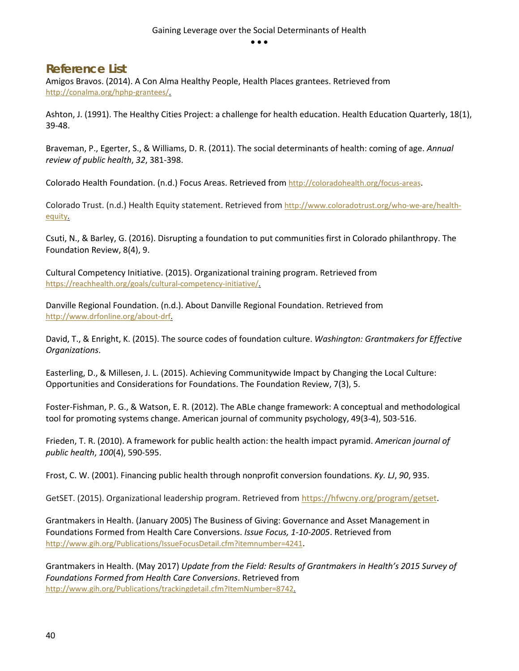#### <span id="page-40-0"></span>**Reference List**

Amigos Bravos. (2014). A Con Alma Healthy People, Health Places grantees. Retrieved from [http://conalma.org/hphp-grantees/.](http://conalma.org/hphp-grantees/)

Ashton, J. (1991). The Healthy Cities Project: a challenge for health education. Health Education Quarterly, 18(1), 39-48.

Braveman, P., Egerter, S., & Williams, D. R. (2011). The social determinants of health: coming of age. *Annual review of public health*, *32*, 381-398.

Colorado Health Foundation. (n.d.) Focus Areas. Retrieved fro[m http://coloradohealth.org/focus-areas.](http://coloradohealth.org/focus-areas)

Colorado Trust. (n.d.) Health Equity statement. Retrieved fro[m http://www.coloradotrust.org/who-we-are/health](http://www.coloradotrust.org/who-we-are/health-equity)[equity.](http://www.coloradotrust.org/who-we-are/health-equity)

Csuti, N., & Barley, G. (2016). Disrupting a foundation to put communities first in Colorado philanthropy. The Foundation Review, 8(4), 9.

Cultural Competency Initiative. (2015). Organizational training program. Retrieved from [https://reachhealth.org/goals/cultural-competency-initiative/.](https://reachhealth.org/goals/cultural-competency-initiative/)

Danville Regional Foundation. (n.d.). About Danville Regional Foundation. Retrieved from [http://www.drfonline.org/about-drf.](http://www.drfonline.org/about-drf)

David, T., & Enright, K. (2015). The source codes of foundation culture. *Washington: Grantmakers for Effective Organizations*.

Easterling, D., & Millesen, J. L. (2015). Achieving Communitywide Impact by Changing the Local Culture: Opportunities and Considerations for Foundations. The Foundation Review, 7(3), 5.

Foster-Fishman, P. G., & Watson, E. R. (2012). The ABLe change framework: A conceptual and methodological tool for promoting systems change. American journal of community psychology, 49(3-4), 503-516.

Frieden, T. R. (2010). A framework for public health action: the health impact pyramid. *American journal of public health*, *100*(4), 590-595.

Frost, C. W. (2001). Financing public health through nonprofit conversion foundations. *Ky. LJ*, *90*, 935.

GetSET. (2015). Organizational leadership program. Retrieved from [https://hfwcny.org/program/getset.](https://hfwcny.org/program/getset)

Grantmakers in Health. (January 2005) The Business of Giving: Governance and Asset Management in Foundations Formed from Health Care Conversions. *Issue Focus, 1-10-2005*. Retrieved from [http://www.gih.org/Publications/IssueFocusDetail.cfm?itemnumber=4241.](http://www.gih.org/Publications/IssueFocusDetail.cfm?itemnumber=4241)

Grantmakers in Health. (May 2017) *Update from the Field: Results of Grantmakers in Health's 2015 Survey of Foundations Formed from Health Care Conversions*. Retrieved from [http://www.gih.org/Publications/trackingdetail.cfm?ItemNumber=8742.](http://www.gih.org/Publications/trackingdetail.cfm?ItemNumber=8742)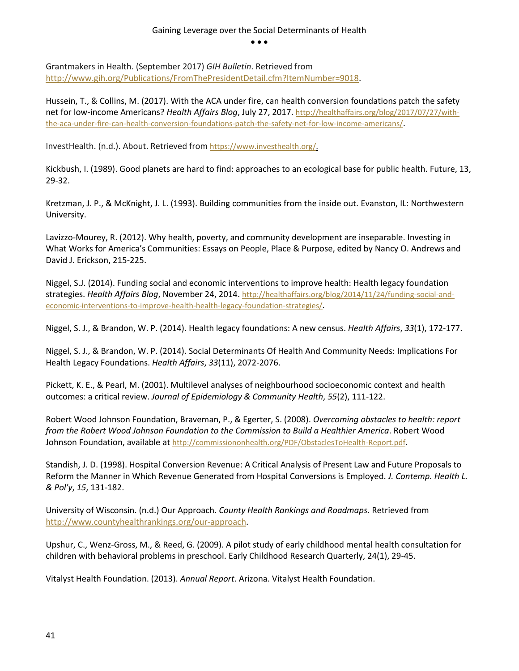Grantmakers in Health. (September 2017) *GIH Bulletin*. Retrieved from [http://www.gih.org/Publications/FromThePresidentDetail.cfm?ItemNumber=9018.](http://www.gih.org/Publications/FromThePresidentDetail.cfm?ItemNumber=9018)

Hussein, T., & Collins, M. (2017). With the ACA under fire, can health conversion foundations patch the safety net for low-income Americans? *Health Affairs Blog*, July 27, 2017[. http://healthaffairs.org/blog/2017/07/27/with](http://healthaffairs.org/blog/2017/07/27/with-the-aca-under-fire-can-health-conversion-foundations-patch-the-safety-net-for-low-income-americans/)[the-aca-under-fire-can-health-conversion-foundations-patch-the-safety-net-for-low-income-americans/.](http://healthaffairs.org/blog/2017/07/27/with-the-aca-under-fire-can-health-conversion-foundations-patch-the-safety-net-for-low-income-americans/)

InvestHealth. (n.d.). About. Retrieved fro[m https://www.investhealth.org/.](https://www.investhealth.org/)

Kickbush, I. (1989). Good planets are hard to find: approaches to an ecological base for public health. Future, 13, 29-32.

Kretzman, J. P., & McKnight, J. L. (1993). Building communities from the inside out. Evanston, IL: Northwestern University.

Lavizzo-Mourey, R. (2012). Why health, poverty, and community development are inseparable. Investing in What Works for America's Communities: Essays on People, Place & Purpose, edited by Nancy O. Andrews and David J. Erickson, 215-225.

Niggel, S.J. (2014). Funding social and economic interventions to improve health: Health legacy foundation strategies. *Health Affairs Blog*, November 24, 2014[. http://healthaffairs.org/blog/2014/11/24/funding-social-and](http://healthaffairs.org/blog/2014/11/24/funding-social-and-economic-interventions-to-improve-health-health-legacy-foundation-strategies/)[economic-interventions-to-improve-health-health-legacy-foundation-strategies/.](http://healthaffairs.org/blog/2014/11/24/funding-social-and-economic-interventions-to-improve-health-health-legacy-foundation-strategies/)

Niggel, S. J., & Brandon, W. P. (2014). Health legacy foundations: A new census. *Health Affairs*, *33*(1), 172-177.

Niggel, S. J., & Brandon, W. P. (2014). Social Determinants Of Health And Community Needs: Implications For Health Legacy Foundations. *Health Affairs*, *33*(11), 2072-2076.

Pickett, K. E., & Pearl, M. (2001). Multilevel analyses of neighbourhood socioeconomic context and health outcomes: a critical review. *Journal of Epidemiology & Community Health*, *55*(2), 111-122.

Robert Wood Johnson Foundation, Braveman, P., & Egerter, S. (2008). *Overcoming obstacles to health: report from the Robert Wood Johnson Foundation to the Commission to Build a Healthier America*. Robert Wood Johnson Foundation, available at [http://commissiononhealth.org/PDF/ObstaclesToHealth-Report.pdf.](http://commissiononhealth.org/PDF/ObstaclesToHealth-Report.pdf)

Standish, J. D. (1998). Hospital Conversion Revenue: A Critical Analysis of Present Law and Future Proposals to Reform the Manner in Which Revenue Generated from Hospital Conversions is Employed. *J. Contemp. Health L. & Pol'y*, *15*, 131-182.

University of Wisconsin. (n.d.) Our Approach. *County Health Rankings and Roadmaps*. Retrieved from [http://www.countyhealthrankings.org/our-approach.](http://www.countyhealthrankings.org/our-approach)

Upshur, C., Wenz-Gross, M., & Reed, G. (2009). A pilot study of early childhood mental health consultation for children with behavioral problems in preschool. Early Childhood Research Quarterly, 24(1), 29-45.

Vitalyst Health Foundation. (2013). *Annual Report*. Arizona. Vitalyst Health Foundation.